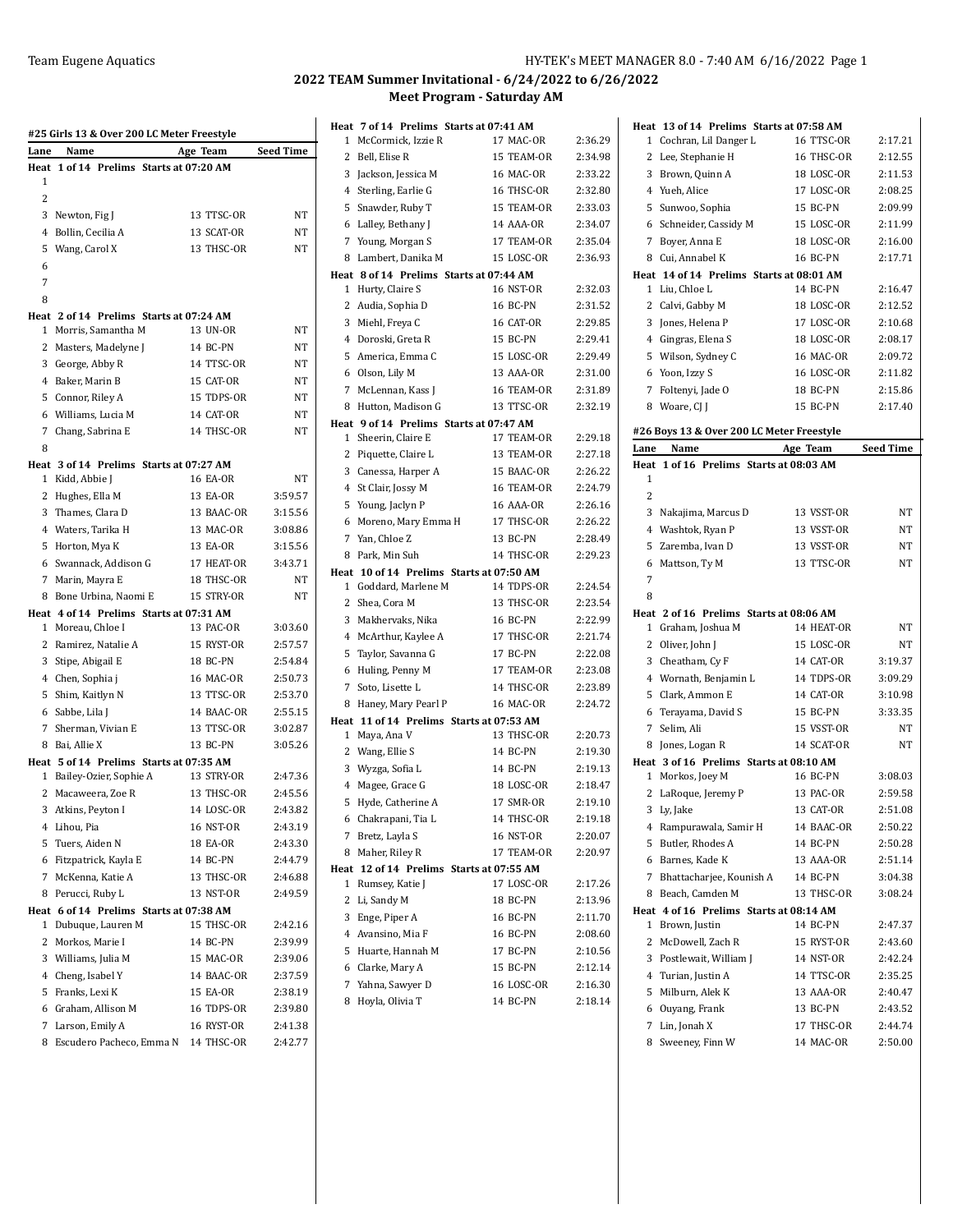| Lane | Name                                      | Age Team                 | Seed Time          |
|------|-------------------------------------------|--------------------------|--------------------|
| Heat | 1 of 14 Prelims Starts at 07:20 AM        |                          |                    |
| 1    |                                           |                          |                    |
| 2    |                                           |                          |                    |
|      | 3 Newton, Fig J                           | 13 TTSC-OR               | NT                 |
|      | 4 Bollin, Cecilia A                       | 13 SCAT-OR               | NT                 |
| 5    | Wang, Carol X                             | 13 THSC-OR               | NT                 |
| 6    |                                           |                          |                    |
| 7    |                                           |                          |                    |
| 8    |                                           |                          |                    |
|      | Heat 2 of 14 Prelims Starts at 07:24 AM   |                          |                    |
| 1    | Morris, Samantha M                        | 13 UN-OR                 | NT                 |
|      | 2 Masters, Madelyne J                     | 14 BC-PN                 | NT                 |
|      | 3 George, Abby R                          | 14 TTSC-OR               | NT                 |
|      | 4 Baker, Marin B                          | 15 CAT-OR                | NT                 |
|      | 5 Connor, Riley A                         | 15 TDPS-OR               | NT                 |
|      | 6 Williams, Lucia M                       | 14 CAT-OR                | NT                 |
| 7    | Chang, Sabrina E                          | 14 THSC-OR               | NT                 |
| 8    |                                           |                          |                    |
|      | Heat 3 of 14 Prelims Starts at 07:27 AM   |                          |                    |
|      | 1 Kidd, Abbie J<br>2 Hughes, Ella M       | 16 EA-OR<br>13 EA-OR     | NT                 |
|      |                                           | 13 BAAC-OR               | 3:59.57<br>3:15.56 |
|      | 3 Thames, Clara D                         | 13 MAC-OR                | 3:08.86            |
|      | 4 Waters, Tarika H                        |                          |                    |
|      | 5 Horton, Mya K                           | 13 EA-OR                 | 3:15.56            |
|      | 6 Swannack, Addison G<br>7 Marin, Mayra E | 17 HEAT-OR<br>18 THSC-OR | 3:43.71<br>NT      |
| 8    | Bone Urbina, Naomi E                      | 15 STRY-OR               | NΤ                 |
|      | Heat 4 of 14 Prelims Starts at 07:31 AM   |                          |                    |
|      | 1 Moreau, Chloe I                         | 13 PAC-OR                | 3:03.60            |
|      | 2 Ramirez, Natalie A                      | 15 RYST-OR               | 2:57.57            |
|      | 3 Stipe, Abigail E                        | 18 BC-PN                 | 2:54.84            |
|      | 4 Chen, Sophia j                          | 16 MAC-OR                | 2:50.73            |
|      | 5 Shim, Kaitlyn N                         | 13 TTSC-OR               | 2:53.70            |
|      | 6 Sabbe, Lila J                           | 14 BAAC-OR               | 2:55.15            |
|      | 7 Sherman, Vivian E                       | 13 TTSC-OR               | 3:02.87            |
|      | 8 Bai, Allie X                            | 13 BC-PN                 | 3:05.26            |
|      | Heat 5 of 14 Prelims Starts at 07:35 AM   |                          |                    |
| 1    | Bailey-Ozier, Sophie A                    | 13 STRY-OR               | 2:47.36            |
|      | 2 Macaweera, Zoe R                        | 13 THSC-OR               | 2:45.56            |
|      | 3 Atkins, Peyton I                        | 14 LOSC-OR               | 2:43.82            |
|      | 4 Lihou, Pia                              | 16 NST-OR                | 2:43.19            |
| 5    | Tuers, Aiden N                            | 18 EA-OR                 | 2:43.30            |
|      | 6 Fitzpatrick, Kayla E                    | 14 BC-PN                 | 2:44.79            |
| 7    | McKenna, Katie A                          | 13 THSC-OR               | 2:46.88            |
| 8    | Perucci, Ruby L                           | 13 NST-OR                | 2:49.59            |
|      | Heat 6 of 14 Prelims Starts at 07:38 AM   |                          |                    |
| 1    | Dubuque, Lauren M                         | 15 THSC-OR               | 2:42.16            |
| 2    | Morkos, Marie I                           | 14 BC-PN                 | 2:39.99            |
|      | 3 Williams, Julia M                       | 15 MAC-OR                | 2:39.06            |
|      | 4 Cheng, Isabel Y                         | 14 BAAC-OR               | 2:37.59            |
|      | 5 Franks, Lexi K                          | <b>15 EA-OR</b>          | 2:38.19            |
|      | 6 Graham, Allison M                       | 16 TDPS-OR               | 2:39.80            |
| 7    | Larson, Emily A                           | 16 RYST-OR               | 2:41.38            |
| 8    | Escudero Pacheco, Emma N                  | 14 THSC-OR               | 2:42.77            |

| Heat | 7 of 14 Prelims Starts at 07:41 AM       |                  |         |
|------|------------------------------------------|------------------|---------|
| 1    | McCormick, Izzie R                       | 17 MAC-OR        | 2:36.29 |
| 2    | Bell, Elise R                            | 15 TEAM-OR       | 2:34.98 |
| 3    | Jackson, Jessica M                       | 16 MAC-OR        | 2:33.22 |
| 4    | Sterling, Earlie G                       | 16 THSC-OR       | 2:32.80 |
| 5    | Snawder, Ruby T                          | 15 TEAM-OR       | 2:33.03 |
| 6    | Lalley, Bethany J                        | 14 AAA-OR        | 2:34.07 |
|      | 7 Young, Morgan S                        | 17 TEAM-OR       | 2:35.04 |
| 8    | Lambert, Danika M                        | 15 LOSC-OR       | 2:36.93 |
|      | Heat 8 of 14 Prelims Starts at 07:44 AM  |                  |         |
| 1    | Hurty, Claire S                          | 16 NST-OR        | 2:32.03 |
| 2    | Audia, Sophia D                          | 16 BC-PN         | 2:31.52 |
| 3    | Miehl, Freya C                           | 16 CAT-OR        | 2:29.85 |
|      | 4 Doroski, Greta R                       | 15 BC-PN         | 2:29.41 |
| 5    | America, Emma C                          | 15 LOSC-OR       | 2:29.49 |
|      | 6 Olson, Lily M                          | 13 AAA-OR        | 2:31.00 |
| 7    | McLennan, Kass J                         | 16 TEAM-OR       | 2:31.89 |
| 8    | Hutton, Madison G                        | 13 TTSC-OR       | 2:32.19 |
|      | Heat 9 of 14 Prelims Starts at 07:47 AM  |                  |         |
| 1    | Sheerin, Claire E                        | 17 TEAM-OR       | 2:29.18 |
| 2    | Piquette, Claire L                       | 13 TEAM-OR       | 2:27.18 |
| 3    | Canessa, Harper A                        | 15 BAAC-OR       | 2:26.22 |
| 4    | St Clair, Jossy M                        | 16 TEAM-OR       | 2:24.79 |
| 5    | Young, Jaclyn P                          | <b>16 AAA-OR</b> | 2:26.16 |
| 6    | Moreno, Mary Emma H                      | 17 THSC-OR       | 2:26.22 |
| 7    | Yan, Chloe Z                             | 13 BC-PN         | 2:28.49 |
| 8    | Park, Min Suh                            | 14 THSC-OR       | 2:29.23 |
|      | Heat 10 of 14 Prelims Starts at 07:50 AM |                  |         |
| 1    | Goddard, Marlene M                       | 14 TDPS-OR       | 2:24.54 |
| 2    | Shea, Cora M                             | 13 THSC-OR       | 2:23.54 |
| 3    | Makhervaks, Nika                         | 16 BC-PN         | 2:22.99 |
| 4    | McArthur, Kaylee A                       | 17 THSC-OR       | 2:21.74 |
| 5    | Taylor, Savanna G                        | 17 BC-PN         | 2:22.08 |
| 6    | Huling, Penny M                          | 17 TEAM-OR       | 2:23.08 |
| 7    | Soto, Lisette L                          | 14 THSC-OR       | 2:23.89 |
| 8    | Haney, Mary Pearl P                      | 16 MAC-OR        | 2:24.72 |
|      | Heat 11 of 14 Prelims Starts at 07:53 AM |                  |         |
| 1    | Maya, Ana V                              | 13 THSC-OR       | 2:20.73 |
|      | 2 Wang, Ellie S                          | 14 BC-PN         | 2:19.30 |
|      | 3 Wyzga, Sofia L                         | 14 BC-PN         | 2:19.13 |
| 4    | Magee, Grace G                           | 18 LOSC-OR       | 2:18.47 |
| 5    | Hyde, Catherine A                        | 17 SMR-OR        | 2:19.10 |
|      | 6 Chakrapani, Tia L                      | 14 THSC-OR       | 2:19.18 |
| 7    | Bretz, Layla S                           | 16 NST-OR        | 2:20.07 |
| 8    | Maher, Riley R                           | 17 TEAM-OR       | 2:20.97 |
|      | Heat 12 of 14 Prelims Starts at 07:55 AM |                  |         |
| 1    | Rumsey, Katie J                          | 17 LOSC-OR       | 2:17.26 |
| 2    | Li, Sandy M                              | 18 BC-PN         | 2:13.96 |
| 3    | Enge, Piper A                            | 16 BC-PN         | 2:11.70 |
|      | 4 Avansino, Mia F                        | 16 BC-PN         | 2:08.60 |
| 5    | Huarte, Hannah M                         | 17 BC-PN         | 2:10.56 |
| 6    | Clarke, Mary A                           | 15 BC-PN         | 2:12.14 |
| 7    | Yahna, Sawyer D                          | 16 LOSC-OR       | 2:16.30 |
| 8    | Hoyla, Olivia T                          | 14 BC-PN         | 2:18.14 |
|      |                                          |                  |         |

|      | Heat 13 of 14 Prelims Starts at 07:58 AM          |                         |                  |
|------|---------------------------------------------------|-------------------------|------------------|
| 1    | Cochran, Lil Danger L                             | 16 TTSC-OR              | 2:17.21          |
| 2    | Lee, Stephanie H                                  | 16 THSC-OR              | 2:12.55          |
|      | 3 Brown, Quinn A                                  | 18 LOSC-OR              | 2:11.53          |
|      | 4 Yueh, Alice                                     | 17 LOSC-OR              | 2:08.25          |
|      | 5 Sunwoo, Sophia                                  | 15 BC-PN                | 2:09.99          |
|      | 6 Schneider, Cassidy M                            | 15 LOSC-OR              | 2:11.99          |
| 7    | Boyer, Anna E                                     | 18 LOSC-OR              | 2:16.00          |
| 8    | Cui, Annabel K                                    | 16 BC-PN                | 2:17.71          |
|      | Heat 14 of 14 Prelims Starts at 08:01 AM          |                         |                  |
| 1    | Liu, Chloe L                                      | 14 BC-PN                | 2:16.47          |
| 2    | Calvi, Gabby M                                    | 18 LOSC-OR              | 2:12.52          |
|      | 3 Jones, Helena P                                 | 17 LOSC-OR              | 2:10.68          |
|      | 4 Gingras, Elena S                                | 18 LOSC-OR              | 2:08.17          |
|      | 5 Wilson, Sydney C                                | 16 MAC-OR               | 2:09.72          |
|      | 6 Yoon, Izzy S                                    | 16 LOSC-OR              | 2:11.82          |
| 7    | Foltenyi, Jade O                                  | 18 BC-PN                | 2:15.86          |
|      | 8 Woare, CJ J                                     | 15 BC-PN                | 2:17.40          |
|      |                                                   |                         |                  |
| Lane | #26 Boys 13 & Over 200 LC Meter Freestyle<br>Name |                         | <b>Seed Time</b> |
| Heat | 1 of 16 Prelims Starts at 08:03 AM                | Age Team                |                  |
| 1    |                                                   |                         |                  |
| 2    |                                                   |                         |                  |
| 3    | Nakajima, Marcus D                                | 13 VSST-OR              | NΤ               |
|      | 4 Washtok, Ryan P                                 | 13 VSST-OR              | <b>NT</b>        |
| 5    | Zaremba, Ivan D                                   | 13 VSST-OR              | NΤ               |
| 6    | Mattson, Ty M                                     | 13 TTSC-OR              | NT               |
| 7    |                                                   |                         |                  |
| 8    |                                                   |                         |                  |
|      | Heat 2 of 16 Prelims Starts at 08:06 AM           |                         |                  |
| 1    | Graham, Joshua M                                  | 14 HEAT-OR              | NΤ               |
| 2    | Oliver, John J                                    | 15 LOSC-OR              | NΤ               |
|      | 3 Cheatham, Cy F                                  | 14 CAT-OR               | 3:19.37          |
|      | 4 Wornath, Benjamin L                             | 14 TDPS-OR              | 3:09.29          |
|      | 5 Clark, Ammon E                                  | 14 CAT-OR               | 3:10.98          |
|      | 6 Terayama, David S                               | 15 BC-PN                | 3:33.35          |
| 7    | Selim, Ali                                        | 15 VSST-OR              | NΤ               |
|      | 8 Jones, Logan R                                  | 14 SCAT-OR              | NT               |
|      | Heat 3 of 16 Prelims Starts at 08:10 AM           |                         |                  |
| 1    | Morkos, Joey M                                    | 16 BC-PN                | 3:08.03          |
|      | 2 LaRoque, Jeremy P                               | 13 PAC-OR               | 2:59.58          |
|      | 3 Ly, Jake                                        | 13 CAT-OR               | 2:51.08          |
|      | 4 Rampurawala, Samir H                            | 14 BAAC-OR              | 2:50.22          |
|      | 5 Butler, Rhodes A                                | 14 BC-PN                | 2:50.28          |
|      | 6 Barnes, Kade K                                  | 13 AAA-OR               | 2:51.14          |
|      | 7 Bhattacharjee, Kounish A                        | 14 BC-PN                | 3:04.38          |
|      | 8 Beach, Camden M                                 | 13 THSC-OR              | 3:08.24          |
|      | Heat 4 of 16 Prelims Starts at 08:14 AM           |                         |                  |
|      | 1 Brown, Justin                                   | 14 BC-PN                | 2:47.37          |
|      | 2 McDowell, Zach R                                | 15 RYST-OR              | 2:43.60          |
|      | 3 Postlewait, William J                           | 14 NST-OR               | 2:42.24          |
|      | 4 Turian, Justin A                                | 14 TTSC-OR              | 2:35.25          |
|      | 5 Milburn, Alek K                                 | 13 AAA-OR<br>13 BC-PN   | 2:40.47          |
|      | 6 Ouyang, Frank                                   |                         | 2:43.52          |
| 7    | Lin, Jonah X                                      | 17 THSC-OR<br>14 MAC-OR | 2:44.74          |
| 8    | Sweeney, Finn W                                   |                         | 2:50.00          |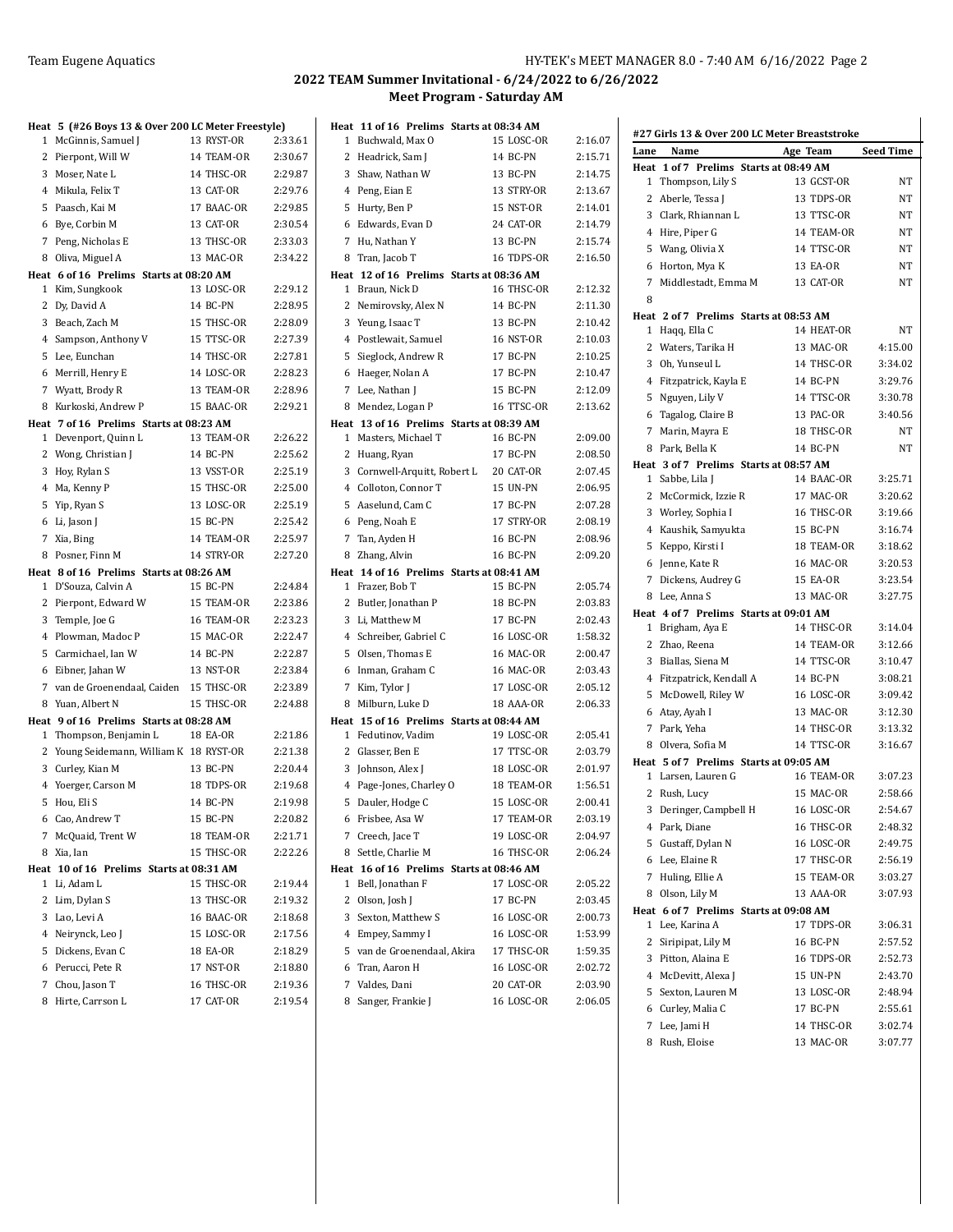|              | Heat 5 (#26 Boys 13 & Over 200 LC Meter Freestyle)             |            |         |
|--------------|----------------------------------------------------------------|------------|---------|
| 1            | McGinnis, Samuel J                                             | 13 RYST-OR | 2:33.61 |
|              | 2 Pierpont, Will W                                             | 14 TEAM-OR | 2:30.67 |
| 3            | Moser, Nate L                                                  | 14 THSC-OR | 2:29.87 |
|              | 4 Mikula, Felix T                                              | 13 CAT-OR  | 2:29.76 |
| 5            | Paasch, Kai M                                                  | 17 BAAC-OR | 2:29.85 |
| 6            | Bye, Corbin M                                                  | 13 CAT-OR  | 2:30.54 |
| 7            | Peng, Nicholas E                                               | 13 THSC-OR | 2:33.03 |
| 8            | Oliva, Miguel A                                                | 13 MAC-OR  | 2:34.22 |
|              | Heat 6 of 16 Prelims Starts at 08:20 AM                        |            |         |
| $\mathbf{1}$ | Kim, Sungkook                                                  | 13 LOSC-OR | 2:29.12 |
|              | 2 Dy, David A                                                  | 14 BC-PN   | 2:28.95 |
|              | 3 Beach, Zach M                                                | 15 THSC-OR | 2:28.09 |
|              | 4 Sampson, Anthony V                                           | 15 TTSC-OR | 2:27.39 |
| 5            | Lee, Eunchan                                                   | 14 THSC-OR | 2:27.81 |
| 6            | Merrill, Henry E                                               | 14 LOSC-OR | 2:28.23 |
| 7            | Wyatt, Brody R                                                 | 13 TEAM-OR | 2:28.96 |
| 8            | Kurkoski, Andrew P                                             | 15 BAAC-OR | 2:29.21 |
|              | Heat 7 of 16 Prelims Starts at 08:23 AM                        |            |         |
| $\mathbf{1}$ | Devenport, Quinn L                                             | 13 TEAM-OR | 2:26.22 |
|              | 2 Wong, Christian J                                            | 14 BC-PN   | 2:25.62 |
| 3            | Hoy, Rylan S                                                   | 13 VSST-OR | 2:25.19 |
|              | 4 Ma, Kenny P                                                  | 15 THSC-OR | 2:25.00 |
| 5            | Yip, Ryan S                                                    | 13 LOSC-OR | 2:25.19 |
| 6            | Li, Jason J                                                    | 15 BC-PN   | 2:25.42 |
| 7            | Xia, Bing                                                      | 14 TEAM-OR | 2:25.97 |
| 8            | Posner, Finn M                                                 | 14 STRY-OR | 2:27.20 |
|              | Heat 8 of 16 Prelims Starts at 08:26 AM<br>1 D'Souza, Calvin A | 15 BC-PN   | 2:24.84 |
| 2            | Pierpont, Edward W                                             | 15 TEAM-OR | 2:23.86 |
|              | 3 Temple, Joe G                                                | 16 TEAM-OR | 2:23.23 |
| 4            | Plowman, Madoc P                                               | 15 MAC-OR  | 2:22.47 |
|              | 5 Carmichael, Ian W                                            | 14 BC-PN   | 2:22.87 |
| 6            | Eibner, Jahan W                                                | 13 NST-OR  | 2:23.84 |
|              | 7 van de Groenendaal, Caiden                                   | 15 THSC-OR | 2:23.89 |
|              | 8 Yuan, Albert N                                               | 15 THSC-OR | 2:24.88 |
|              | Heat 9 of 16 Prelims Starts at 08:28 AM                        |            |         |
|              | 1 Thompson, Benjamin L                                         | 18 EA-OR   | 2:21.86 |
|              | 2 Young Seidemann, William K 18 RYST-OR                        |            | 2:21.38 |
|              | 3 Curley, Kian M                                               | 13 BC-PN   | 2:20.44 |
|              | 4 Yoerger, Carson M                                            | 18 TDPS-OR | 2:19.68 |
| 5            | Hou, Eli S                                                     | 14 BC-PN   | 2:19.98 |
|              | 6 Cao, Andrew T                                                | 15 BC-PN   | 2:20.82 |
| 7            | McQuaid, Trent W                                               | 18 TEAM-OR | 2:21.71 |
| 8            | Xia, Ian                                                       | 15 THSC-OR | 2:22.26 |
|              | Heat 10 of 16 Prelims Starts at 08:31 AM                       |            |         |
| 1            | Li, Adam L                                                     | 15 THSC-OR | 2:19.44 |
| 2            | Lim, Dylan S                                                   | 13 THSC-OR | 2:19.32 |
|              | 3 Lao, Levi A                                                  | 16 BAAC-OR | 2:18.68 |
|              | 4 Neirynck, Leo J                                              | 15 LOSC-OR | 2:17.56 |
|              | 5 Dickens, Evan C                                              | 18 EA-OR   | 2:18.29 |
|              | 6 Perucci, Pete R                                              | 17 NST-OR  | 2:18.80 |
|              | 7 Chou, Jason T                                                | 16 THSC-OR | 2:19.36 |
| 8            | Hirte, Carrson L                                               | 17 CAT-OR  | 2:19.54 |

| Heat         |                                                              | 11 of 16 Prelims Starts at 08:34 AM |                    |
|--------------|--------------------------------------------------------------|-------------------------------------|--------------------|
|              | 1 Buchwald, Max O                                            | 15 LOSC-OR                          | 2:16.07            |
|              | 2 Headrick, Sam J                                            | 14 BC-PN                            | 2:15.71            |
|              | 3 Shaw, Nathan W                                             | 13 BC-PN                            | 2:14.75            |
|              | 4 Peng, Eian E                                               | 13 STRY-OR                          | 2:13.67            |
|              | 5 Hurty, Ben P                                               | 15 NST-OR                           | 2:14.01            |
| 6            | Edwards, Evan D                                              | 24 CAT-OR                           | 2:14.79            |
|              | 7 Hu, Nathan Y                                               | 13 BC-PN                            | 2:15.74            |
| 8            | Tran, Jacob T                                                | 16 TDPS-OR                          | 2:16.50            |
|              | Heat 12 of 16 Prelims Starts at 08:36 AM                     |                                     |                    |
|              | 1 Braun, Nick D                                              | 16 THSC-OR                          | 2:12.32            |
|              | 2 Nemirovsky, Alex N                                         | 14 BC-PN                            | 2:11.30            |
|              | 3 Yeung, Isaac T                                             | 13 BC-PN                            | 2:10.42            |
|              | 4 Postlewait, Samuel                                         | <b>16 NST-OR</b>                    | 2:10.03            |
|              | 5 Sieglock, Andrew R                                         | 17 BC-PN                            | 2:10.25            |
|              | 6 Haeger, Nolan A                                            | 17 BC-PN                            | 2:10.47            |
|              | 7 Lee, Nathan J                                              | 15 BC-PN                            | 2:12.09            |
| 8            | Mendez, Logan P                                              | 16 TTSC-OR                          | 2:13.62            |
|              | Heat 13 of 16 Prelims Starts at 08:39 AM                     |                                     |                    |
|              | 1 Masters, Michael T                                         | 16 BC-PN                            | 2:09.00            |
|              | 2 Huang, Ryan                                                | 17 BC-PN                            | 2:08.50            |
|              | 3 Cornwell-Arquitt, Robert L                                 | 20 CAT-OR                           | 2:07.45            |
|              | 4 Colloton, Connor T                                         | <b>15 UN-PN</b>                     | 2:06.95            |
|              | 5 Aaselund, Cam C                                            | 17 BC-PN                            | 2:07.28            |
| 6            | Peng, Noah E                                                 | 17 STRY-OR                          | 2:08.19            |
| 7            | Tan, Ayden H                                                 | <b>16 BC-PN</b>                     | 2:08.96            |
| 8            | Zhang, Alvin                                                 | 16 BC-PN                            | 2:09.20            |
|              | Heat 14 of 16 Prelims Starts at 08:41 AM                     |                                     |                    |
|              | 1 Frazer, Bob T                                              | 15 BC-PN                            | 2:05.74            |
|              | 2 Butler, Jonathan P                                         | 18 BC-PN                            | 2:03.83            |
|              | 3 Li, Matthew M                                              | 17 BC-PN                            | 2:02.43            |
|              | 4 Schreiber, Gabriel C                                       | 16 LOSC-OR                          | 1:58.32            |
|              | 5 Olsen, Thomas E                                            | <b>16 MAC-OR</b>                    | 2:00.47            |
| 6            | Inman, Graham C                                              | 16 MAC-OR                           | 2:03.43            |
| 7            | Kim, Tylor J                                                 | 17 LOSC-OR                          | 2:05.12            |
| 8            | Milburn, Luke D                                              | 18 AAA-OR                           | 2:06.33            |
|              | Heat 15 of 16 Prelims Starts at 08:44 AM                     |                                     |                    |
|              | 1 Fedutinov, Vadim                                           | 19 LOSC-OR                          | 2:05.41            |
|              | 2 Glasser, Ben E                                             | 17 TTSC-OR                          | 2:03.79            |
|              | 3 Johnson, Alex J                                            | 18 LOSC-OR<br>18 TEAM-OR            | 2:01.97            |
|              | 4 Page-Jones, Charley O                                      | 15 LOSC-OR                          | 1:56.51<br>2:00.41 |
|              | 5 Dauler, Hodge C                                            |                                     | 2:03.19            |
|              | 6 Frisbee, Asa W                                             | 17 TEAM-OR                          |                    |
|              | 7 Creech, Jace T                                             | 19 LOSC-OR                          | 2:04.97            |
| 8            | Settle, Charlie M                                            | 16 THSC-OR                          | 2:06.24            |
| $\mathbf{1}$ | Heat 16 of 16 Prelims Starts at 08:46 AM<br>Bell, Jonathan F | 17 LOSC-OR                          | 2:05.22            |
| 2            | Olson, Josh J                                                | 17 BC-PN                            | 2:03.45            |
|              | 3 Sexton, Matthew S                                          | <b>16 LOSC-OR</b>                   | 2:00.73            |
|              | 4 Empey, Sammy I                                             | <b>16 LOSC-OR</b>                   | 1.53.99            |
|              |                                                              | 17 THSC-OR                          |                    |
|              | 5 van de Groenendaal, Akira<br>6 Tran, Aaron H               | 16 LOSC-OR                          | 1:59.35<br>2:02.72 |
| 7            | Valdes, Dani                                                 |                                     |                    |
|              |                                                              | 20 CAT-OR                           | 2:03.90            |
|              | 8 Sanger, Frankie J                                          | 16 LOSC-OR                          | 2:06.05            |

|              | #27 Girls 13 & Over 200 LC Meter Breaststroke |                   |                  |
|--------------|-----------------------------------------------|-------------------|------------------|
| Lane         | Name                                          | Age Team          | <b>Seed Time</b> |
| Heat         | 1 of 7 Prelims Starts at 08:49 AM             |                   |                  |
| 1            | Thompson, Lily S                              | 13 GCST-OR        | NΤ               |
| 2            | Aberle, Tessa J                               | 13 TDPS-OR        | NΤ               |
| 3            | Clark, Rhiannan L                             | 13 TTSC-OR        | NΤ               |
|              | 4 Hire, Piper G                               | 14 TEAM-OR        | NΤ               |
| 5            | Wang, Olivia X                                | 14 TTSC-OR        | NΤ               |
| 6            | Horton, Mya K                                 | 13 EA-OR          | NΤ               |
| 7            | Middlestadt, Emma M                           | 13 CAT-OR         | NΤ               |
| 8            |                                               |                   |                  |
|              | Heat 2 of 7 Prelims Starts at 08:53 AM        |                   |                  |
| 1            | Haqq, Ella C                                  | 14 HEAT-OR        | NΤ               |
| $\mathbf{2}$ | Waters, Tarika H                              | 13 MAC-OR         | 4:15.00          |
| 3            | Oh, Yunseul L                                 | 14 THSC-OR        | 3:34.02          |
|              | 4 Fitzpatrick, Kayla E                        | 14 BC-PN          | 3:29.76          |
| 5            | Nguyen, Lily V                                | 14 TTSC-OR        | 3:30.78          |
| 6            | Tagalog, Claire B                             | 13 PAC-OR         | 3:40.56          |
| 7            | Marin, Mayra E                                | 18 THSC-OR        | NΤ               |
| 8            | Park, Bella K                                 | 14 BC-PN          | NT               |
|              | Heat 3 of 7 Prelims Starts at 08:57 AM        |                   |                  |
| 1            | Sabbe, Lila J                                 | 14 BAAC-OR        | 3:25.71          |
| 2            | McCormick, Izzie R                            | 17 MAC-OR         | 3:20.62          |
| 3            | Worley, Sophia I                              | 16 THSC-OR        | 3:19.66          |
|              | 4 Kaushik, Samyukta                           | 15 BC-PN          | 3:16.74          |
| 5            | Keppo, Kirsti I                               | 18 TEAM-OR        | 3:18.62          |
| 6            | Jenne, Kate R                                 | <b>16 MAC-OR</b>  | 3:20.53          |
| 7            | Dickens, Audrey G                             | 15 EA-OR          | 3:23.54          |
| 8            | Lee, Anna S                                   | 13 MAC-OR         | 3:27.75          |
|              | Heat 4 of 7 Prelims Starts at 09:01 AM        |                   |                  |
| $\mathbf{1}$ | Brigham, Aya E                                | 14 THSC-OR        | 3:14.04          |
| 2            | Zhao, Reena                                   | 14 TEAM-OR        | 3:12.66          |
| 3            | Biallas, Siena M                              | 14 TTSC-OR        | 3:10.47          |
|              | 4 Fitzpatrick, Kendall A                      | 14 BC-PN          | 3:08.21          |
| 5            | McDowell, Riley W                             | <b>16 LOSC-OR</b> | 3:09.42          |
|              | 6 Atay, Ayah I                                | 13 MAC-OR         | 3:12.30          |
| 7            | Park, Yeha                                    | 14 THSC-OR        | 3:13.32          |
| 8            | Olvera, Sofia M                               | 14 TTSC-OR        | 3:16.67          |
| Heat         | 5 of 7 Prelims Starts at 09:05 AM             |                   |                  |
|              | 1 Larsen, Lauren G                            | 16 TEAM-OR        | 3:07.23          |
|              | 2 Rush, Lucy                                  | 15 MAC-OR         | 2:58.66          |
| 3            | Deringer, Campbell H                          | <b>16 LOSC-OR</b> | 2:54.67          |
|              | 4 Park, Diane                                 | 16 THSC-OR        | 2:48.32          |
|              | 5 Gustaff, Dylan N                            | 16 LOSC-OR        | 2:49.75          |
|              | 6 Lee, Elaine R                               | 17 THSC-OR        | 2:56.19          |
| 7            | Huling, Ellie A                               | 15 TEAM-OR        | 3:03.27          |
|              | 8 Olson, Lily M                               | 13 AAA-OR         | 3:07.93          |
|              | Heat 6 of 7 Prelims Starts at 09:08 AM        |                   |                  |
| 1            | Lee, Karina A                                 | 17 TDPS-OR        | 3:06.31          |
| 2            | Siripipat, Lily M                             | 16 BC-PN          | 2:57.52          |
|              | 3 Pitton, Alaina E                            | 16 TDPS-OR        | 2:52.73          |
|              | 4 McDevitt, Alexa J                           | 15 UN-PN          | 2:43.70          |
| 5            | Sexton, Lauren M                              | 13 LOSC-OR        | 2:48.94          |
|              | 6 Curley, Malia C                             | 17 BC-PN          | 2:55.61          |
| 7            | Lee, Jami H                                   | 14 THSC-OR        | 3:02.74          |
| 8            | Rush, Eloise                                  | 13 MAC-OR         | 3:07.77          |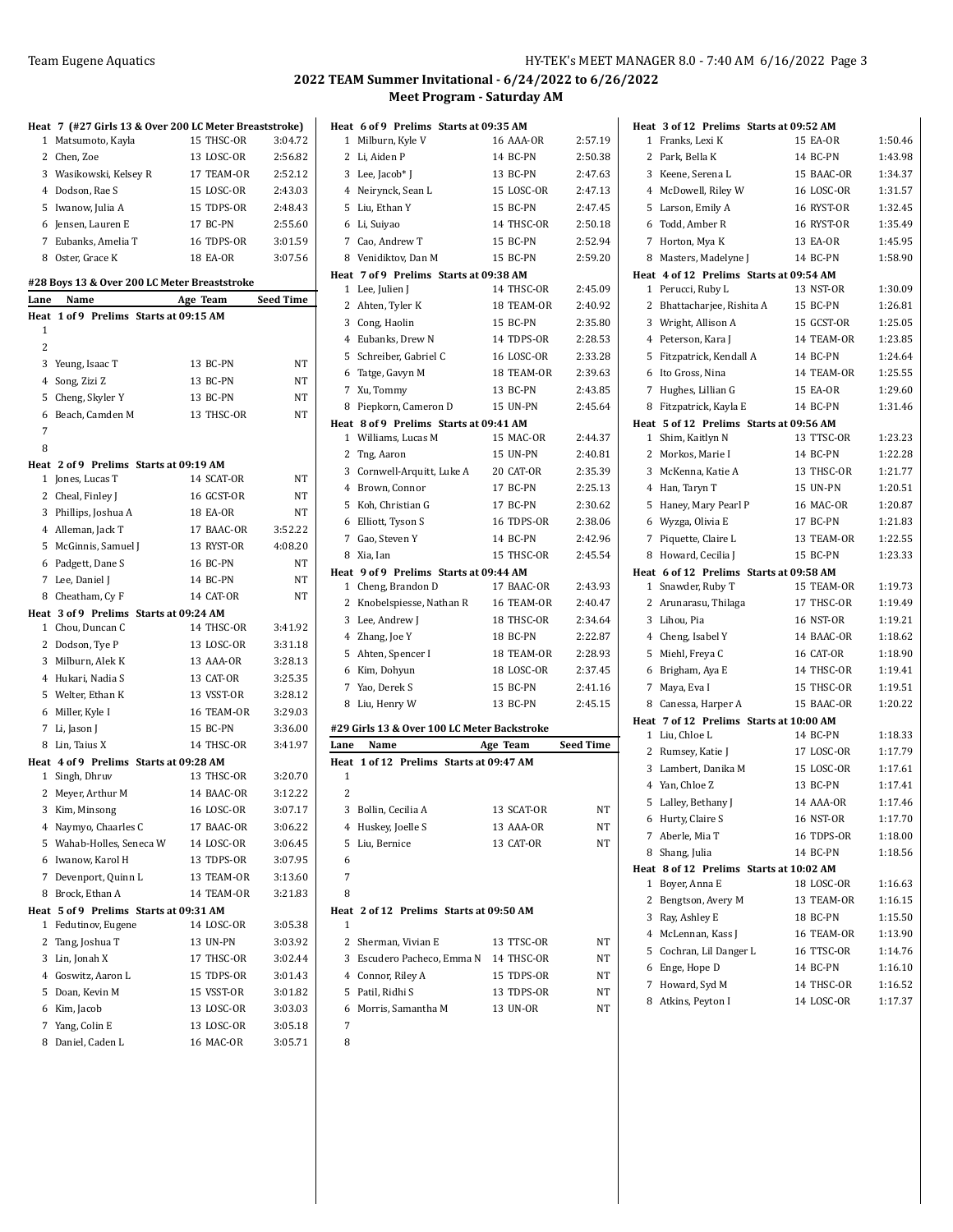| 1              | Heat 7 (#27 Girls 13 & Over 200 LC Meter Breaststroke)<br>Matsumoto, Kayla | 15 THSC-OR | 3:04.72          |
|----------------|----------------------------------------------------------------------------|------------|------------------|
|                | 2 Chen, Zoe                                                                | 13 LOSC-OR | 2:56.82          |
|                |                                                                            | 17 TEAM-OR | 2:52.12          |
|                | 3 Wasikowski, Kelsey R                                                     |            |                  |
|                | 4 Dodson, Rae S                                                            | 15 LOSC-OR | 2:43.03          |
|                | 5 Iwanow, Julia A                                                          | 15 TDPS-OR | 2:48.43          |
|                | 6 Jensen, Lauren E                                                         | 17 BC-PN   | 2:55.60          |
|                | 7 Eubanks, Amelia T                                                        | 16 TDPS-OR | 3:01.59          |
|                | 8 Oster, Grace K                                                           | 18 EA-OR   | 3:07.56          |
|                | #28 Boys 13 & Over 200 LC Meter Breaststroke                               |            |                  |
| Lane           | Name                                                                       | Age Team   | <b>Seed Time</b> |
| Heat           | 1 of 9 Prelims Starts at 09:15 AM                                          |            |                  |
| 1              |                                                                            |            |                  |
| 2              |                                                                            |            |                  |
|                | 3 Yeung, Isaac T                                                           | 13 BC-PN   | NT               |
|                | 4 Song, Zizi Z                                                             | 13 BC-PN   | NT               |
| 5              | Cheng, Skyler Y                                                            | 13 BC-PN   | NT               |
| 6              | Beach, Camden M                                                            | 13 THSC-OR | NT               |
| 7              |                                                                            |            |                  |
| 8              |                                                                            |            |                  |
|                | Heat 2 of 9 Prelims Starts at 09:19 AM                                     |            |                  |
| 1              | Jones, Lucas T                                                             | 14 SCAT-OR | NΤ               |
| 2              | Cheal, Finley J                                                            | 16 GCST-OR | NΤ               |
|                | 3 Phillips, Joshua A                                                       | 18 EA-OR   | NΤ               |
|                | 4 Alleman, Jack T                                                          | 17 BAAC-OR | 3:52.22          |
|                | 5 McGinnis, Samuel J                                                       | 13 RYST-OR | 4:08.20          |
|                | 6 Padgett, Dane S                                                          | 16 BC-PN   | NT               |
|                | 7 Lee, Daniel J                                                            | 14 BC-PN   | NT               |
|                | 8 Cheatham, Cy F                                                           | 14 CAT-OR  | NΤ               |
|                | Heat 3 of 9 Prelims Starts at 09:24 AM                                     |            |                  |
|                | 1 Chou, Duncan C                                                           | 14 THSC-OR | 3:41.92          |
|                | 2 Dodson, Tye P                                                            | 13 LOSC-OR | 3:31.18          |
|                | 3 Milburn, Alek K                                                          | 13 AAA-OR  | 3:28.13          |
|                | 4 Hukari, Nadia S                                                          | 13 CAT-OR  | 3:25.35          |
|                | 5 Welter, Ethan K                                                          | 13 VSST-OR | 3:28.12          |
|                | 6 Miller, Kyle I                                                           | 16 TEAM-OR | 3:29.03          |
|                | 7 Li, Jason J                                                              | 15 BC-PN   | 3:36.00          |
| 8              | Lin, Taius X                                                               | 14 THSC-OR | 3:41.97          |
|                | Heat 4 of 9 Prelims Starts at 09:28 AM                                     |            |                  |
|                | 1 Singh, Dhruv                                                             | 13 THSC-OR | 3:20.70          |
|                | 2 Meyer, Arthur M                                                          | 14 BAAC-OR | 3:12.22          |
|                | 3 Kim, Minsong                                                             | 16 LOSC-OR | 3:07.17          |
|                | 4 Naymyo, Chaarles C                                                       | 17 BAAC-OR | 3:06.22          |
| 5              | Wahab-Holles, Seneca W                                                     | 14 LOSC-OR | 3:06.45          |
| 6              | Iwanow, Karol H                                                            | 13 TDPS-OR | 3:07.95          |
| 7              | Devenport, Quinn L                                                         | 13 TEAM-OR | 3:13.60          |
| 8              | Brock, Ethan A                                                             | 14 TEAM-OR | 3:21.83          |
|                | Heat 5 of 9 Prelims Starts at 09:31 AM                                     |            |                  |
| 1              | Fedutinov, Eugene                                                          | 14 LOSC-OR | 3:05.38          |
| 2              | Tang, Joshua T                                                             | 13 UN-PN   | 3:03.92          |
| 3              | Lin, Jonah X                                                               | 17 THSC-OR | 3:02.44          |
| $\overline{4}$ | Goswitz, Aaron L                                                           | 15 TDPS-OR | 3:01.43          |
| 5              | Doan, Kevin M                                                              | 15 VSST-OR | 3:01.82          |
| 6              | Kim, Jacob                                                                 | 13 LOSC-OR | 3:03.03          |
| 7              | Yang, Colin E                                                              | 13 LOSC-OR | 3:05.18          |
| 8              | Daniel, Caden L                                                            | 16 MAC-OR  | 3:05.71          |

|           | Heat 6 of 9 Prelims Starts at 09:35 AM                     |                  |                  |
|-----------|------------------------------------------------------------|------------------|------------------|
| 1         | Milburn, Kyle V                                            | <b>16 AAA-OR</b> | 2:57.19          |
| 2         | Li, Aiden P                                                | 14 BC-PN         | 2:50.38          |
|           | 3 Lee, Jacob* J                                            | 13 BC-PN         | 2:47.63          |
|           | 4 Neirynck, Sean L                                         | 15 LOSC-OR       | 2:47.13          |
|           | 5 Liu, Ethan Y                                             | 15 BC-PN         | 2:47.45          |
|           | 6 Li, Suiyao                                               | 14 THSC-OR       | 2:50.18          |
|           | 7 Cao, Andrew T                                            | 15 BC-PN         | 2:52.94          |
|           | 8 Venidiktov, Dan M                                        | 15 BC-PN         | 2:59.20          |
|           | Heat 7 of 9 Prelims Starts at 09:38 AM                     |                  |                  |
| 1         | Lee, Julien J                                              | 14 THSC-OR       | 2:45.09          |
| 2         | Ahten, Tyler K                                             | 18 TEAM-OR       | 2:40.92          |
|           | 3 Cong, Haolin                                             | 15 BC-PN         | 2:35.80          |
|           | 4 Eubanks, Drew N                                          | 14 TDPS-OR       | 2:28.53          |
|           | 5 Schreiber, Gabriel C                                     | 16 LOSC-OR       | 2:33.28          |
|           | 6 Tatge, Gavyn M                                           | 18 TEAM-OR       | 2:39.63          |
|           | 7 Xu, Tommy                                                | 13 BC-PN         | 2:43.85          |
| 8         | Piepkorn, Cameron D                                        | 15 UN-PN         | 2:45.64          |
|           | Heat 8 of 9 Prelims Starts at 09:41 AM                     |                  |                  |
| 1         | Williams, Lucas M                                          | 15 MAC-OR        | 2:44.37          |
| 2         | Tng, Aaron                                                 | 15 UN-PN         | 2:40.81          |
| 3         | Cornwell-Arquitt, Luke A                                   | 20 CAT-OR        | 2:35.39          |
|           | 4 Brown, Connor                                            | 17 BC-PN         | 2:25.13          |
|           | 5 Koh, Christian G                                         | 17 BC-PN         | 2:30.62          |
|           | 6 Elliott, Tyson S                                         | 16 TDPS-OR       | 2:38.06          |
|           | 7 Gao, Steven Y                                            | 14 BC-PN         | 2:42.96          |
| 8         | Xia, Ian                                                   | 15 THSC-OR       | 2:45.54          |
| 1         | Heat 9 of 9 Prelims Starts at 09:44 AM<br>Cheng, Brandon D | 17 BAAC-OR       | 2:43.93          |
| 2         | Knobelspiesse, Nathan R                                    | 16 TEAM-OR       | 2:40.47          |
|           | 3 Lee, Andrew J                                            | 18 THSC-OR       | 2:34.64          |
|           | 4 Zhang, Joe Y                                             | 18 BC-PN         | 2:22.87          |
| 5         | Ahten, Spencer I                                           | 18 TEAM-OR       | 2:28.93          |
|           | 6 Kim, Dohyun                                              | 18 LOSC-OR       | 2:37.45          |
| 7         | Yao, Derek S                                               | 15 BC-PN         | 2:41.16          |
| 8         | Liu, Henry W                                               | 13 BC-PN         | 2:45.15          |
|           |                                                            |                  |                  |
|           | #29 Girls 13 & Over 100 LC Meter Backstroke                |                  |                  |
| Lane      | Name                                                       | Age Team         | <b>Seed Time</b> |
| Heat<br>1 | 1 of 12 Prelims Starts at 09:47 AM                         |                  |                  |
| 2         |                                                            |                  |                  |
|           | 3 Bollin, Cecilia A                                        | 13 SCAT-OR       | ΝI               |
|           | 4 Huskey, Joelle S                                         | 13 AAA-OR        | NΤ               |
| 5         | Liu, Bernice                                               | 13 CAT-OR        | NΤ               |
| 6         |                                                            |                  |                  |
| 7         |                                                            |                  |                  |
| 8         |                                                            |                  |                  |
| Heat<br>1 | 2 of 12 Prelims Starts at 09:50 AM                         |                  |                  |
|           | 2 Sherman, Vivian E                                        | 13 TTSC-OR       | NΤ               |
|           | 3 Escudero Pacheco, Emma N                                 | 14 THSC-OR       | NΤ               |
|           |                                                            | 15 TDPS-OR       | NΤ               |
|           |                                                            |                  |                  |
|           | 4 Connor, Riley A<br>5 Patil, Ridhi S                      | 13 TDPS-OR       | NT               |
| 6         | Morris, Samantha M                                         | 13 UN-OR         | NΤ               |
| 7         |                                                            |                  |                  |
| 8         |                                                            |                  |                  |

|                | Heat 3 of 12 Prelims Starts at 09:52 AM                         |                          |                    |
|----------------|-----------------------------------------------------------------|--------------------------|--------------------|
| 1              | Franks, Lexi K                                                  | 15 EA-OR                 | 1:50.46            |
| $\overline{c}$ | Park, Bella K                                                   | 14 BC-PN                 | 1:43.98            |
| 3              | Keene. Serena L                                                 | 15 BAAC-OR               | 1:34.37            |
| 4              | McDowell, Riley W                                               | <b>16 LOSC-OR</b>        | 1:31.57            |
| 5              | Larson, Emily A                                                 | 16 RYST-OR               | 1:32.45            |
| 6              | Todd, Amber R                                                   | 16 RYST-OR               | 1:35.49            |
| 7              | Horton, Mya K                                                   | 13 EA-OR                 | 1:45.95            |
| 8              | Masters, Madelyne J                                             | 14 BC-PN                 | 1:58.90            |
|                | Heat 4 of 12 Prelims Starts at 09:54 AM                         |                          |                    |
| $\mathbf{1}$   | Perucci, Ruby L                                                 | 13 NST-OR                | 1:30.09            |
| 2              | Bhattacharjee, Rishita A                                        | 15 BC-PN                 | 1:26.81            |
|                | 3 Wright, Allison A                                             | 15 GCST-OR<br>14 TEAM-OR | 1:25.05            |
| 4<br>5         | Peterson, Kara J                                                | 14 BC-PN                 | 1:23.85<br>1:24.64 |
| 6              | Fitzpatrick, Kendall A<br>Ito Gross, Nina                       | 14 TEAM-OR               | 1:25.55            |
| 7              |                                                                 | 15 EA-OR                 | 1:29.60            |
| 8              | Hughes, Lillian G                                               | 14 BC-PN                 | 1:31.46            |
|                | Fitzpatrick, Kayla E<br>Heat 5 of 12 Prelims Starts at 09:56 AM |                          |                    |
| 1              | Shim, Kaitlyn N                                                 | 13 TTSC-OR               | 1:23.23            |
| 2              | Morkos, Marie I                                                 | 14 BC-PN                 | 1:22.28            |
| 3              | McKenna, Katie A                                                | 13 THSC-OR               | 1:21.77            |
| 4              | Han, Taryn T                                                    | <b>15 UN-PN</b>          | 1:20.51            |
| 5              | Haney, Mary Pearl P                                             | <b>16 MAC-OR</b>         | 1:20.87            |
| 6              | Wyzga, Olivia E                                                 | 17 BC-PN                 | 1:21.83            |
| 7              | Piquette, Claire L                                              | 13 TEAM-OR               | 1:22.55            |
| 8              | Howard, Cecilia J                                               | 15 BC-PN                 | 1:23.33            |
|                | Heat 6 of 12 Prelims Starts at 09:58 AM                         |                          |                    |
| 1              | Snawder, Ruby T                                                 | 15 TEAM-OR               | 1:19.73            |
| $\mathbf{2}$   | Arunarasu, Thilaga                                              | 17 THSC-OR               | 1:19.49            |
| 3              | Lihou, Pia                                                      | <b>16 NST-OR</b>         | 1:19.21            |
|                | 4 Cheng, Isabel Y                                               | 14 BAAC-OR               | 1:18.62            |
| 5              | Miehl, Freya C                                                  | 16 CAT-OR                | 1:18.90            |
| 6              | Brigham, Aya E                                                  | 14 THSC-OR               | 1:19.41            |
| 7              | Maya, Eva I                                                     | 15 THSC-OR               | 1:19.51            |
| 8              | Canessa, Harper A                                               | 15 BAAC-OR               | 1:20.22            |
|                | Heat 7 of 12 Prelims Starts at 10:00 AM                         |                          |                    |
| $\mathbf{1}$   | Liu, Chloe L                                                    | 14 BC-PN                 | 1:18.33            |
| 2              | Rumsey, Katie J                                                 | 17 LOSC-OR<br>15 LOSC-OR | 1:17.79            |
| 3              | Lambert, Danika M                                               | 13 BC-PN                 | 1:17.61<br>1:17.41 |
| 5              | 4 Yan, Chloe Z<br>Lalley, Bethany J                             | 14 AAA-OR                | 1:17.46            |
|                | 6 Hurty, Claire S                                               | 16 NST-OR                | 1:17.70            |
| 7              | Aberle, Mia T                                                   | 16 TDPS-OR               | 1:18.00            |
|                | 8 Shang, Julia                                                  | 14 BC-PN                 | 1:18.56            |
|                | Heat 8 of 12 Prelims Starts at 10:02 AM                         |                          |                    |
| 1              | Boyer, Anna E                                                   | 18 LOSC-OR               | 1:16.63            |
|                | 2 Bengtson, Avery M                                             | 13 TEAM-OR               | 1:16.15            |
|                | 3 Ray, Ashley E                                                 | 18 BC-PN                 | 1:15.50            |
|                | 4 McLennan, Kass J                                              | 16 TEAM-OR               | 1:13.90            |
|                | 5 Cochran, Lil Danger L                                         | 16 TTSC-OR               | 1:14.76            |
|                | 6 Enge, Hope D                                                  | 14 BC-PN                 | 1:16.10            |
|                | 7 Howard, Syd M                                                 | 14 THSC-OR               | 1:16.52            |
|                | 8 Atkins, Peyton I                                              | 14 LOSC-OR               | 1:17.37            |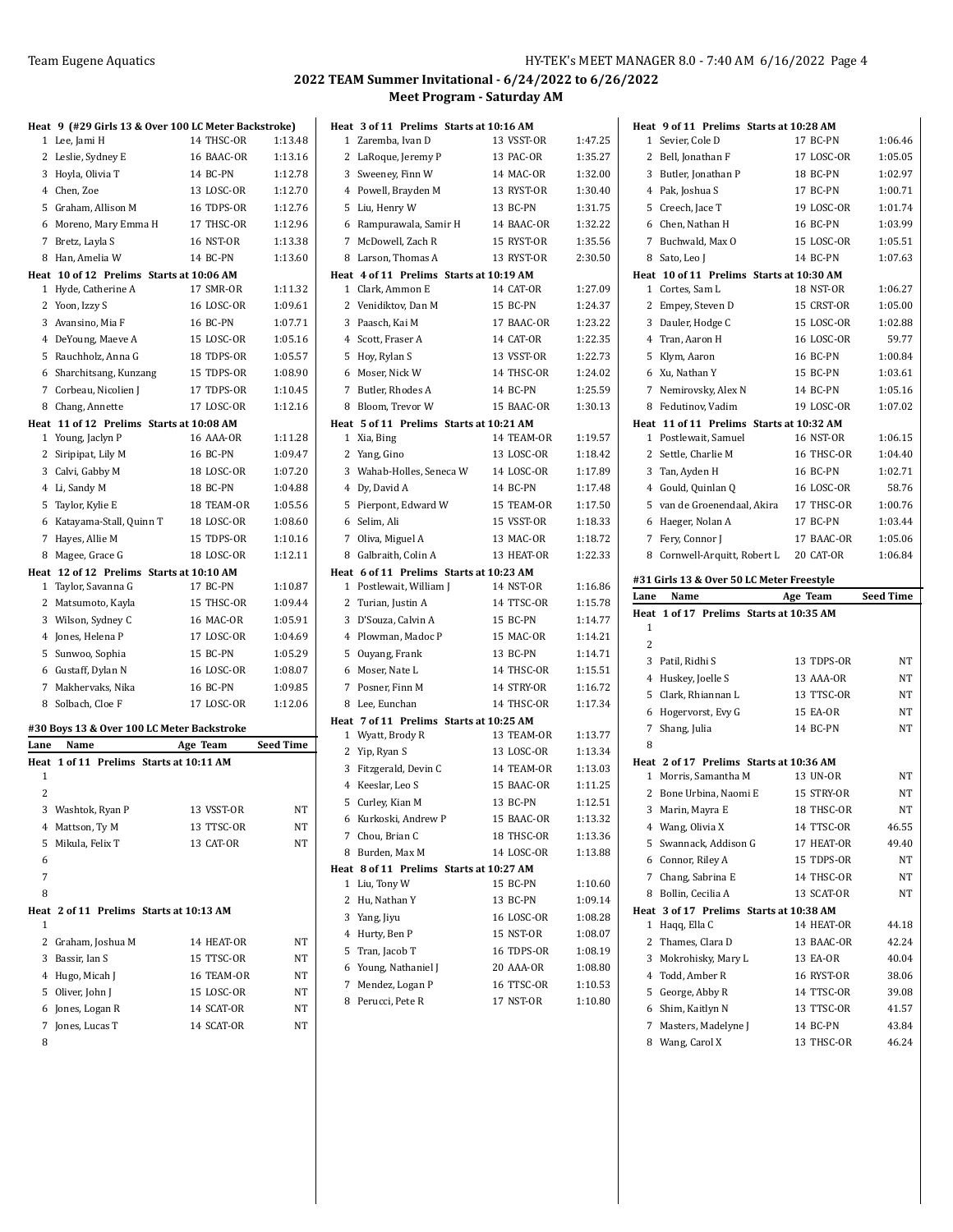|           | Heat 9 (#29 Girls 13 & Over 100 LC Meter Backstroke) |                   |           |
|-----------|------------------------------------------------------|-------------------|-----------|
| 1         | Lee, Jami H                                          | 14 THSC-OR        | 1:13.48   |
| 2         | Leslie, Sydney E                                     | 16 BAAC-OR        | 1:13.16   |
|           | 3 Hoyla, Olivia T                                    | 14 BC-PN          | 1:12.78   |
|           | 4 Chen, Zoe                                          | 13 LOSC-OR        | 1:12.70   |
|           | 5 Graham, Allison M                                  | 16 TDPS-OR        | 1:12.76   |
|           | 6 Moreno, Mary Emma H                                | 17 THSC-OR        | 1:12.96   |
| 7         | Bretz, Layla S                                       | 16 NST-OR         | 1:13.38   |
| 8         | Han, Amelia W                                        | 14 BC-PN          | 1:13.60   |
| Heat      | 10 of 12 Prelims Starts at 10:06 AM                  |                   |           |
| 1         | Hyde, Catherine A                                    | 17 SMR-OR         | 1:11.32   |
| 2         | Yoon, Izzy S                                         | <b>16 LOSC-OR</b> | 1:09.61   |
| 3         | Avansino, Mia F                                      | <b>16 BC-PN</b>   | 1:07.71   |
|           | 4 DeYoung, Maeve A                                   | 15 LOSC-OR        | 1:05.16   |
|           | 5 Rauchholz, Anna G                                  | 18 TDPS-OR        | 1:05.57   |
|           | 6 Sharchitsang, Kunzang                              | 15 TDPS-OR        | 1:08.90   |
| 7         | Corbeau, Nicolien J                                  | 17 TDPS-OR        | 1:10.45   |
| 8         | Chang, Annette                                       | 17 LOSC-OR        | 1:12.16   |
| 1         | Heat 11 of 12 Prelims Starts at 10:08 AM             | 16 AAA-OR         | 1:11.28   |
| 2         | Young, Jaclyn P<br>Siripipat, Lily M                 | <b>16 BC-PN</b>   | 1:09.47   |
|           | 3 Calvi, Gabby M                                     | 18 LOSC-OR        | 1:07.20   |
|           | 4 Li, Sandy M                                        | 18 BC-PN          | 1:04.88   |
| 5         |                                                      | 18 TEAM-OR        | 1:05.56   |
| 6         | Taylor, Kylie E<br>Katayama-Stall, Quinn T           | 18 LOSC-OR        | 1:08.60   |
| 7         | Hayes, Allie M                                       | 15 TDPS-OR        | 1:10.16   |
| 8         | Magee, Grace G                                       | 18 LOSC-OR        | 1:12.11   |
|           | Heat 12 of 12 Prelims Starts at 10:10 AM             |                   |           |
| 1         | Taylor, Savanna G                                    | 17 BC-PN          | 1:10.87   |
| 2         | Matsumoto, Kayla                                     | 15 THSC-OR        | 1:09.44   |
|           | 3 Wilson, Sydney C                                   | 16 MAC-OR         | 1:05.91   |
|           | 4 Jones, Helena P                                    | 17 LOSC-OR        | 1:04.69   |
| 5         | Sunwoo, Sophia                                       | 15 BC-PN          | 1:05.29   |
|           | 6 Gustaff, Dylan N                                   | 16 LOSC-OR        | 1:08.07   |
| 7         | Makhervaks, Nika                                     | 16 BC-PN          | 1:09.85   |
| 8         | Solbach, Cloe F                                      | 17 LOSC-OR        | 1:12.06   |
|           |                                                      |                   |           |
|           | #30 Boys 13 & Over 100 LC Meter Backstroke           |                   |           |
| Lane      | Name                                                 | Age Team          | Seed Time |
| Heat<br>1 | 1 of 11 Prelims Starts at 10:11 AM                   |                   |           |
| 2         |                                                      |                   |           |
|           | 3 Washtok, Ryan P                                    | 13 VSST-OR        | NT        |
|           | 4 Mattson, Ty M                                      | 13 TTSC-OR        | NT        |
| 5         | Mikula, Felix T                                      | 13 CAT-OR         | NT        |
| 6         |                                                      |                   |           |
| 7         |                                                      |                   |           |
| 8         |                                                      |                   |           |
| Heat      | 2 of 11 Prelims Starts at 10:13 AM                   |                   |           |
| 1         |                                                      |                   |           |
|           | 2 Graham, Joshua M                                   | 14 HEAT-OR        | NT        |
|           | 3 Bassir, Ian S                                      | 15 TTSC-OR        | NT        |
|           | 4 Hugo, Micah J                                      | 16 TEAM-OR        | NT        |
|           | 5 Oliver, John J                                     | 15 LOSC-OR        | NT        |
|           | 6 Jones, Logan R                                     | 14 SCAT-OR        | NT        |
| 7         |                                                      |                   |           |
|           |                                                      |                   |           |
| 8         | Jones, Lucas T                                       | 14 SCAT-OR        | NT        |

|              | Heat 3 of 11 Prelims Starts at 10:16 AM |            |         |
|--------------|-----------------------------------------|------------|---------|
| $\mathbf 1$  | Zaremba, Ivan D                         | 13 VSST-OR | 1:47.25 |
| 2            | LaRoque, Jeremy P                       | 13 PAC-OR  | 1:35.27 |
|              | 3 Sweeney, Finn W                       | 14 MAC-OR  | 1:32.00 |
|              | 4 Powell, Brayden M                     | 13 RYST-OR | 1:30.40 |
|              | 5 Liu, Henry W                          | 13 BC-PN   | 1:31.75 |
| 6            | Rampurawala, Samir H                    | 14 BAAC-OR | 1:32.22 |
|              | 7 McDowell, Zach R                      | 15 RYST-OR | 1:35.56 |
| 8            | Larson, Thomas A                        | 13 RYST-OR | 2:30.50 |
|              | Heat 4 of 11 Prelims Starts at 10:19 AM |            |         |
|              | 1 Clark, Ammon E                        | 14 CAT-OR  | 1:27.09 |
| 2            | Venidiktov, Dan M                       | 15 BC-PN   | 1:24.37 |
|              | 3 Paasch, Kai M                         | 17 BAAC-OR | 1:23.22 |
|              | 4 Scott, Fraser A                       | 14 CAT-OR  | 1:22.35 |
|              | 5 Hoy, Rylan S                          | 13 VSST-OR | 1:22.73 |
| 6            | Moser, Nick W                           | 14 THSC-OR | 1:24.02 |
|              | 7 Butler, Rhodes A                      | 14 BC-PN   | 1:25.59 |
| 8            | Bloom, Trevor W                         | 15 BAAC-OR | 1:30.13 |
|              | Heat 5 of 11 Prelims Starts at 10:21 AM |            |         |
|              | 1 Xia, Bing                             | 14 TEAM-OR | 1:19.57 |
| 2            | Yang, Gino                              | 13 LOSC-OR | 1:18.42 |
|              | 3 Wahab-Holles, Seneca W                | 14 LOSC-OR | 1:17.89 |
|              | 4 Dy, David A                           | 14 BC-PN   | 1:17.48 |
| 5            | Pierpont, Edward W                      | 15 TEAM-OR | 1:17.50 |
|              | 6 Selim, Ali                            | 15 VSST-OR | 1:18.33 |
|              | 7 Oliva, Miguel A                       | 13 MAC-OR  | 1:18.72 |
|              | 8 Galbraith, Colin A                    | 13 HEAT-OR | 1:22.33 |
|              | Heat 6 of 11 Prelims Starts at 10:23 AM |            |         |
|              | 1 Postlewait, William J                 | 14 NST-OR  | 1:16.86 |
|              | 2 Turian, Justin A                      | 14 TTSC-OR | 1:15.78 |
|              | 3 D'Souza, Calvin A                     | 15 BC-PN   | 1:14.77 |
|              | 4 Plowman, Madoc P                      | 15 MAC-OR  | 1:14.21 |
|              | 5 Ouyang, Frank                         | 13 BC-PN   | 1:14.71 |
| 6            | Moser, Nate L                           | 14 THSC-OR | 1:15.51 |
| 7            | Posner, Finn M                          | 14 STRY-OR | 1:16.72 |
| 8            | Lee, Eunchan                            | 14 THSC-OR | 1:17.34 |
|              | Heat 7 of 11 Prelims Starts at 10:25 AM |            |         |
| $\mathbf{1}$ | Wyatt, Brody R                          | 13 TEAM-OR | 1:13.77 |
|              | 2 Yip, Ryan S                           | 13 LOSC-OR | 1:13.34 |
|              | 3 Fitzgerald, Devin C                   | 14 TEAM-OR | 1:13.03 |
|              | 4 Keeslar, Leo S                        | 15 BAAC-OR | 1:11.25 |
| 5            | Curley, Kian M                          | 13 BC-PN   | 1:12.51 |
| 6            | Kurkoski, Andrew P                      | 15 BAAC-OR | 1:13.32 |
| 7            | Chou, Brian C                           | 18 THSC-OR | 1:13.36 |
| 8            | Burden, Max M                           | 14 LOSC-OR | 1:13.88 |
| Heat         | 8 of 11 Prelims Starts at 10:27 AM      |            |         |
| 1            | Liu, Tony W                             | 15 BC-PN   | 1:10.60 |
| 2            | Hu, Nathan Y                            | 13 BC-PN   | 1:09.14 |
| 3            | Yang, Jiyu                              | 16 LOSC-OR | 1:08.28 |
| 4            | Hurty, Ben P                            | 15 NST-OR  | 1:08.07 |
| 5            | Tran, Jacob T                           | 16 TDPS-OR | 1:08.19 |
| 6            | Young, Nathaniel J                      | 20 AAA-OR  | 1:08.80 |
| 7            | Mendez, Logan P                         | 16 TTSC-OR | 1:10.53 |
| 8            | Perucci, Pete R                         | 17 NST-OR  | 1:10.80 |

| Heat 9 of 11 Prelims Starts at 10:28 AM         |                   |           |
|-------------------------------------------------|-------------------|-----------|
| 1 Sevier, Cole D                                | 17 BC-PN          | 1:06.46   |
| 2 Bell, Jonathan F                              | 17 LOSC-OR        | 1:05.05   |
| 3 Butler, Jonathan P                            | 18 BC-PN          | 1:02.97   |
| 4 Pak, Joshua S                                 | 17 BC-PN          | 1:00.71   |
| 5 Creech, Jace T                                | 19 LOSC-OR        | 1:01.74   |
| 6 Chen, Nathan H                                | 16 BC-PN          | 1:03.99   |
| 7 Buchwald, Max O                               | 15 LOSC-OR        | 1:05.51   |
| 8 Sato, Leo J                                   | 14 BC-PN          | 1:07.63   |
| Heat 10 of 11 Prelims Starts at 10:30 AM        |                   |           |
| 1 Cortes, Sam L                                 | 18 NST-OR         | 1:06.27   |
| 2 Empey, Steven D                               | 15 CRST-OR        | 1:05.00   |
| 3 Dauler, Hodge C                               | 15 LOSC-OR        | 1:02.88   |
| 4 Tran, Aaron H                                 | <b>16 LOSC-OR</b> | 59.77     |
| 5 Klym, Aaron                                   | 16 BC-PN          | 1:00.84   |
| 6 Xu, Nathan Y                                  | 15 BC-PN          | 1:03.61   |
| 7 Nemirovsky, Alex N                            | 14 BC-PN          | 1:05.16   |
| 8 Fedutinov, Vadim                              | 19 LOSC-OR        | 1:07.02   |
| Heat 11 of 11 Prelims Starts at 10:32 AM        |                   |           |
| 1 Postlewait, Samuel                            | 16 NST-OR         | 1:06.15   |
| 2 Settle, Charlie M                             | 16 THSC-OR        | 1:04.40   |
| 3 Tan, Ayden H                                  | 16 BC-PN          | 1:02.71   |
| 4 Gould, Quinlan Q                              | <b>16 LOSC-OR</b> | 58.76     |
| 5 van de Groenendaal, Akira                     | 17 THSC-OR        | 1:00.76   |
| 6 Haeger, Nolan A                               | 17 BC-PN          | 1:03.44   |
| 7 Fery, Connor J                                | 17 BAAC-OR        | 1:05.06   |
| 8 Cornwell-Arquitt, Robert L                    | 20 CAT-OR         | 1:06.84   |
|                                                 |                   |           |
|                                                 |                   |           |
| #31 Girls 13 & Over 50 LC Meter Freestyle       |                   |           |
| Lane<br>Name                                    | Age Team          | Seed Time |
| Heat<br>1 of 17 Prelims Starts at 10:35 AM<br>1 |                   |           |
| $\overline{c}$                                  |                   |           |
| 3 Patil, Ridhi S                                | 13 TDPS-OR        | NΤ        |
| 4 Huskey, Joelle S                              | 13 AAA-OR         | NΤ        |
| 5 Clark, Rhiannan L                             | 13 TTSC-OR        | NΤ        |
| 6 Hogervorst, Evy G                             | 15 EA-OR          | NΤ        |
|                                                 | 14 BC-PN          | NΤ        |
| 7 Shang, Julia<br>8                             |                   |           |
| Heat 2 of 17 Prelims Starts at 10:36 AM         |                   |           |
| 1 Morris, Samantha M                            | 13 UN-OR          | NΤ        |
| 2<br>Bone Urbina, Naomi E                       | 15 STRY-OR        | NΤ        |
| 3 Marin, Mayra E                                | 18 THSC-OR        | NΤ        |
| 4 Wang, Olivia X                                | 14 TTSC-OR        | 46.55     |
| 5 Swannack, Addison G                           | 17 HEAT-OR        | 49.40     |
| 6 Connor, Riley A                               | 15 TDPS-OR        | NΤ        |
| 7 Chang, Sabrina E                              | 14 THSC-OR        | NT        |
| 8 Bollin, Cecilia A                             | 13 SCAT-OR        | NΤ        |
| Heat 3 of 17 Prelims Starts at 10:38 AM         |                   |           |
| 1 Haqq, Ella C                                  | 14 HEAT-OR        | 44.18     |
| 2 Thames, Clara D                               | 13 BAAC-OR        | 42.24     |
| 3 Mokrohisky, Mary L                            | 13 EA-OR          | 40.04     |
| 4 Todd, Amber R                                 | 16 RYST-OR        | 38.06     |
| 5 George, Abby R                                | 14 TTSC-OR        | 39.08     |
| 6 Shim, Kaitlyn N                               | 13 TTSC-OR        | 41.57     |
| 7 Masters, Madelyne J                           | 14 BC-PN          | 43.84     |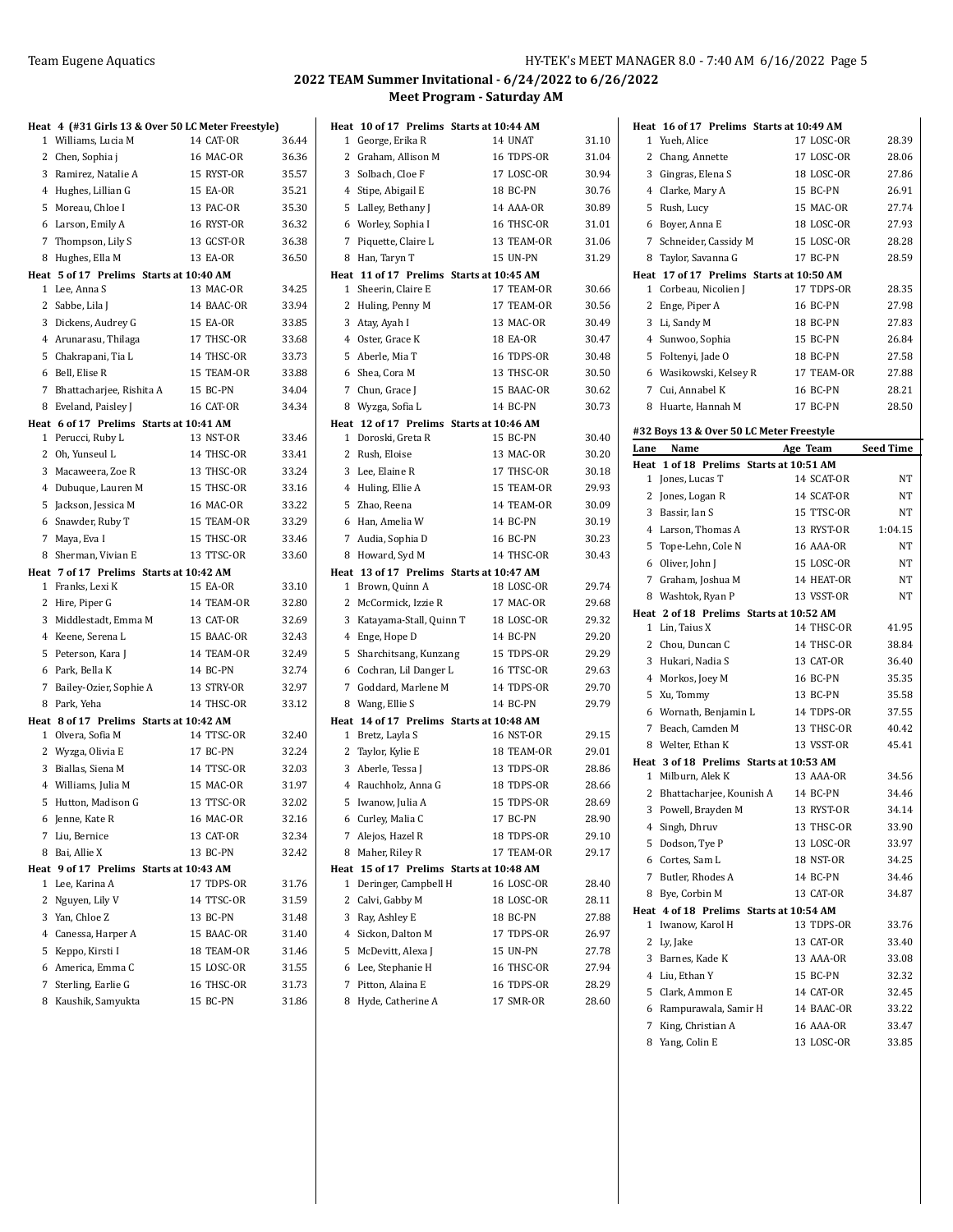|        | Heat 4 (#31 Girls 13 & Over 50 LC Meter Freestyle)    |                         |                |
|--------|-------------------------------------------------------|-------------------------|----------------|
|        | 1 Williams, Lucia M                                   | 14 CAT-OR               | 36.44          |
|        | 2 Chen, Sophia j                                      | 16 MAC-OR               | 36.36          |
|        | 3 Ramirez, Natalie A                                  | 15 RYST-OR              | 35.57          |
|        | 4 Hughes, Lillian G                                   | 15 EA-OR                | 35.21          |
| 5      | Moreau, Chloe I                                       | 13 PAC-OR               | 35.30          |
|        | 6 Larson, Emily A                                     | 16 RYST-OR              | 36.32          |
|        | 7 Thompson, Lily S                                    | 13 GCST-OR              | 36.38          |
| 8      | Hughes, Ella M                                        | 13 EA-OR                | 36.50          |
|        | Heat 5 of 17 Prelims Starts at 10:40 AM               |                         |                |
|        | 1 Lee, Anna S                                         | 13 MAC-OR               | 34.25          |
|        | 2 Sabbe, Lila J                                       | 14 BAAC-OR              | 33.94          |
|        | 3 Dickens, Audrey G                                   | 15 EA-OR                | 33.85          |
|        | 4 Arunarasu, Thilaga                                  | 17 THSC-OR              | 33.68          |
| 5      | Chakrapani, Tia L                                     | 14 THSC-OR              | 33.73          |
|        | 6 Bell, Elise R                                       | 15 TEAM-OR              | 33.88          |
|        | 7 Bhattacharjee, Rishita A                            | 15 BC-PN                | 34.04          |
|        | 8 Eveland, Paisley J                                  | 16 CAT-OR               | 34.34          |
|        | Heat 6 of 17 Prelims Starts at 10:41 AM               |                         |                |
|        | 1 Perucci, Ruby L                                     | 13 NST-OR               | 33.46          |
|        | 2 Oh, Yunseul L                                       | 14 THSC-OR              | 33.41          |
|        | 3 Macaweera, Zoe R                                    | 13 THSC-OR              | 33.24          |
|        | 4 Dubuque, Lauren M                                   | 15 THSC-OR              | 33.16          |
| 5      | Jackson, Jessica M                                    | 16 MAC-OR               | 33.22          |
| 6      | Snawder, Ruby T                                       | 15 TEAM-OR              | 33.29          |
|        | 7 Maya, Eva I                                         | 15 THSC-OR              | 33.46          |
| 8      | Sherman, Vivian E                                     | 13 TTSC-OR              | 33.60          |
|        | Heat 7 of 17 Prelims Starts at 10:42 AM               |                         |                |
|        | 1 Franks, Lexi K                                      | 15 EA-OR                | 33.10          |
| 3      | 2 Hire, Piper G                                       | 14 TEAM-OR              | 32.80<br>32.69 |
|        | Middlestadt, Emma M                                   | 13 CAT-OR<br>15 BAAC-OR |                |
|        | 4 Keene, Serena L                                     | 14 TEAM-OR              | 32.43          |
| 5<br>6 | Peterson, Kara J<br>Park, Bella K                     | 14 BC-PN                | 32.49<br>32.74 |
| 7      |                                                       | 13 STRY-OR              | 32.97          |
|        | Bailey-Ozier, Sophie A                                |                         |                |
| 8      | Park, Yeha<br>Heat 8 of 17 Prelims Starts at 10:42 AM | 14 THSC-OR              | 33.12          |
|        | 1 Olvera, Sofia M                                     | 14 TTSC-OR              | 32.40          |
|        | 2 Wyzga, Olivia E                                     | 17 BC-PN                | 32.24          |
| 3      | Biallas, Siena M                                      | 14 TTSC-OR              | 32.03          |
|        | 4 Williams, Julia M                                   | 15 MAC-OR               | 31.97          |
|        | 5 Hutton, Madison G                                   | 13 TTSC-OR              | 32.02          |
|        | 6 Jenne, Kate R                                       | 16 MAC-OR               | 32.16          |
|        | 7 Liu, Bernice                                        | 13 CAT-OR               | 32.34          |
| 8      | Bai, Allie X                                          | 13 BC-PN                | 32.42          |
|        | Heat 9 of 17 Prelims Starts at 10:43 AM               |                         |                |
| 1      | Lee, Karina A                                         | 17 TDPS-OR              | 31.76          |
|        | 2 Nguyen, Lily V                                      | 14 TTSC-OR              | 31.59          |
|        | 3 Yan, Chloe Z                                        | 13 BC-PN                | 31.48          |
|        | 4 Canessa, Harper A                                   | 15 BAAC-OR              | 31.40          |
|        | 5 Keppo, Kirsti I                                     | 18 TEAM-OR              | 31.46          |
|        | 6 America, Emma C                                     | 15 LOSC-OR              | 31.55          |
| 7      | Sterling, Earlie G                                    | 16 THSC-OR              | 31.73          |
| 8      | Kaushik, Samyukta                                     | 15 BC-PN                | 31.86          |

|                | Heat 10 of 17 Prelims Starts at 10:44 AM |                                |                |
|----------------|------------------------------------------|--------------------------------|----------------|
| $\mathbf{1}$   | George, Erika R                          | 14 UNAT                        | 31.10          |
|                | 2 Graham, Allison M                      | 16 TDPS-OR                     | 31.04          |
| 3              | Solbach, Cloe F                          | 17 LOSC-OR                     | 30.94          |
|                | 4 Stipe, Abigail E                       | 18 BC-PN                       | 30.76          |
| 5              | Lalley, Bethany J                        | 14 AAA-OR                      | 30.89          |
|                | 6 Worley, Sophia I                       | 16 THSC-OR                     | 31.01          |
| 7              | Piquette, Claire L                       | 13 TEAM-OR                     | 31.06          |
| 8              | Han, Taryn T                             | <b>15 UN-PN</b>                | 31.29          |
|                | Heat 11 of 17 Prelims Starts at 10:45 AM |                                |                |
|                | 1 Sheerin, Claire E                      | 17 TEAM-OR                     | 30.66          |
|                | 2 Huling, Penny M                        | 17 TEAM-OR                     | 30.56          |
|                | 3 Atay, Ayah I                           | 13 MAC-OR                      | 30.49          |
|                | 4 Oster, Grace K                         | <b>18 EA-OR</b>                | 30.47          |
| 5              | Aberle, Mia T                            | 16 TDPS-OR                     | 30.48          |
|                | 6 Shea, Cora M                           | 13 THSC-OR                     | 30.50          |
|                | 7 Chun, Grace J                          | 15 BAAC-OR                     | 30.62          |
|                | 8 Wyzga, Sofia L                         | 14 BC-PN                       | 30.73          |
|                | Heat 12 of 17 Prelims Starts at 10:46 AM |                                |                |
| $\mathbf{1}$   | Doroski, Greta R                         | <b>15 BC-PN</b>                | 30.40          |
| 2              | Rush, Eloise                             | 13 MAC-OR                      | 30.20          |
| 3              | Lee, Elaine R                            | 17 THSC-OR                     | 30.18          |
| 4              | Huling, Ellie A                          | 15 TEAM-OR                     | 29.93          |
| 5              | Zhao, Reena                              | 14 TEAM-OR                     | 30.09          |
|                | 6 Han. Amelia W                          | 14 BC-PN                       | 30.19          |
| 7              | Audia, Sophia D                          | 16 BC-PN                       | 30.23          |
|                | 8 Howard, Syd M                          | 14 THSC-OR                     | 30.43          |
|                | Heat 13 of 17 Prelims Starts at 10:47 AM |                                |                |
|                | 1 Brown, Quinn A                         | 18 LOSC-OR                     | 29.74          |
| 2              | McCormick, Izzie R                       | 17 MAC-OR                      | 29.68          |
| 3              | Katayama-Stall, Quinn T                  | 18 LOSC-OR                     | 29.32          |
| 4              | Enge, Hope D                             | 14 BC-PN                       | 29.20          |
| 5              | Sharchitsang, Kunzang                    | 15 TDPS-OR                     | 29.29          |
|                | 6 Cochran, Lil Danger L                  | 16 TTSC-OR                     | 29.63          |
|                | 7 Goddard, Marlene M                     | 14 TDPS-OR                     | 29.70          |
|                | 8 Wang, Ellie S                          | 14 BC-PN                       | 29.79          |
|                | Heat 14 of 17 Prelims Starts at 10:48 AM |                                |                |
| 1              | Bretz, Layla S                           | <b>16 NST-OR</b><br>18 TEAM-OR | 29.15<br>29.01 |
|                | 2 Taylor, Kylie E                        | 13 TDPS-OR                     | 28.86          |
|                | 3 Aberle, Tessa J                        |                                |                |
| $\overline{4}$ | Rauchholz, Anna G<br>5 Iwanow, Julia A   | 18 TDPS-OR<br>15 TDPS-OR       | 28.66<br>28.69 |
|                |                                          |                                |                |
|                | 6   Curley, Malia C                      | 17 BC-PN                       | 28.90          |
| 7              | Alejos, Hazel R                          | 18 TDPS-OR                     | 29.10          |
|                | 8 Maher, Riley R                         | 17 TEAM-OR                     | 29.17          |
| 1              | Heat 15 of 17 Prelims Starts at 10:48 AM | 16 LOSC-OR                     | 28.40          |
|                | Deringer, Campbell H<br>2 Calvi, Gabby M | 18 LOSC-OR                     | 28.11          |
|                | 3 Ray, Ashley E                          | 18 BC-PN                       | 27.88          |
| 4              | Sickon, Dalton M                         |                                | 26.97          |
|                |                                          | 17 TDPS-OR<br>15 UN-PN         |                |
| 5              | McDevitt, Alexa J                        |                                | 27.78          |
| 6              | Lee, Stephanie H                         | 16 THSC-OR                     | 27.94          |
| 7              | Pitton, Alaina E                         | 16 TDPS-OR                     | 28.29          |
| 8              | Hyde, Catherine A                        | 17 SMR-OR                      | 28.60          |

| Heat 16 of 17 Prelims Starts at 10:49 AM   |                         |                  |
|--------------------------------------------|-------------------------|------------------|
| Yueh, Alice<br>1                           | 17 LOSC-OR              | 28.39            |
| 2<br>Chang, Annette                        | 17 LOSC-OR              | 28.06            |
| 3<br>Gingras, Elena S                      | 18 LOSC-OR              | 27.86            |
| Clarke, Mary A<br>4                        | 15 BC-PN                | 26.91            |
| 5<br>Rush, Lucy                            | 15 MAC-OR               | 27.74            |
| 6<br>Boyer, Anna E                         | 18 LOSC-OR              | 27.93            |
| 7<br>Schneider, Cassidy M                  | 15 LOSC-OR              | 28.28            |
| 8 Taylor, Savanna G                        | 17 BC-PN                | 28.59            |
| Heat 17 of 17 Prelims Starts at 10:50 AM   |                         |                  |
| Corbeau, Nicolien J<br>1                   | 17 TDPS-OR              | 28.35            |
| 2<br>Enge, Piper A                         | <b>16 BC-PN</b>         | 27.98            |
| 3<br>Li, Sandy M                           | 18 BC-PN                | 27.83            |
| 4 Sunwoo, Sophia                           | 15 BC-PN                | 26.84            |
| Foltenyi, Jade O<br>5                      | 18 BC-PN                | 27.58            |
| 6 Wasikowski, Kelsey R                     | 17 TEAM-OR              | 27.88            |
| 7<br>Cui, Annabel K                        | <b>16 BC-PN</b>         | 28.21            |
| Huarte, Hannah M<br>8                      | 17 BC-PN                | 28.50            |
|                                            |                         |                  |
| #32 Boys 13 & Over 50 LC Meter Freestyle   |                         |                  |
| Lane<br>Name                               | Age Team                | <b>Seed Time</b> |
| 1 of 18 Prelims Starts at 10:51 AM<br>Heat |                         |                  |
| Jones, Lucas T<br>1                        | 14 SCAT-OR              | NΤ               |
| 2<br>Jones, Logan R                        | 14 SCAT-OR              | NΤ               |
| Bassir, Ian S<br>3                         | 15 TTSC-OR              | NΤ               |
| 4 Larson, Thomas A                         | 13 RYST-OR              | 1:04.15          |
| Tope-Lehn, Cole N<br>5                     | 16 AAA-OR               | NT               |
| 6 Oliver, John J                           | 15 LOSC-OR              | NΤ               |
| 7<br>Graham, Joshua M                      | 14 HEAT-OR              | NT               |
| 8 Washtok, Ryan P                          | 13 VSST-OR              | NΤ               |
| Heat 2 of 18 Prelims Starts at 10:52 AM    |                         |                  |
| 1 Lin, Taius X                             | 14 THSC-OR              | 41.95            |
| 2 Chou, Duncan C                           | 14 THSC-OR              | 38.84            |
| 3 Hukari, Nadia S                          | 13 CAT-OR               | 36.40            |
| Morkos, Joey M<br>4                        | 16 BC-PN                | 35.35            |
| Xu, Tommy<br>5                             | 13 BC-PN                | 35.58            |
| 6 Wornath, Benjamin L                      | 14 TDPS-OR              | 37.55            |
| 7<br>Beach, Camden M                       | 13 THSC-OR              | 40.42            |
| 8 Welter, Ethan K                          | 13 VSST-OR              | 45.41            |
| Heat 3 of 18 Prelims Starts at 10:53 AM    |                         |                  |
| 1 Milburn, Alek K                          | 13 AAA-OR               | 34.56            |
| 2<br>Bhattacharjee, Kounish A              | 14 BC-PN                | 34.46            |
| 3<br>Powell, Brayden M                     | 13 RYST-OR              | 34.14            |
| Singh, Dhruv<br>4                          | 13 THSC-OR              | 33.90            |
| 5<br>Dodson, Tye P                         | 13 LOSC-OR              | 33.97            |
| 6 Cortes, Sam L                            | 18 NST-OR               | 34.25            |
| 7 Butler, Rhodes A                         | 14 BC-PN                | 34.46            |
| 8 Bye, Corbin M                            | 13 CAT-OR               | 34.87            |
| Heat 4 of 18 Prelims Starts at 10:54 AM    |                         |                  |
|                                            | 13 TDPS-OR              | 33.76            |
| Iwanow, Karol H<br>1                       | 13 CAT-OR               | 33.40            |
| 2<br>Ly, Jake                              | 13 AAA-OR               | 33.08            |
| 3 Barnes, Kade K                           |                         |                  |
| Liu, Ethan Y<br>4                          | 15 BC-PN                | 32.32            |
| Clark, Ammon E<br>5                        | 14 CAT-OR               | 32.45            |
| Rampurawala, Samir H<br>6                  | 14 BAAC-OR              | 33.22            |
| King, Christian A<br>7<br>8 Yang, Colin E  | 16 AAA-OR<br>13 LOSC-OR | 33.47<br>33.85   |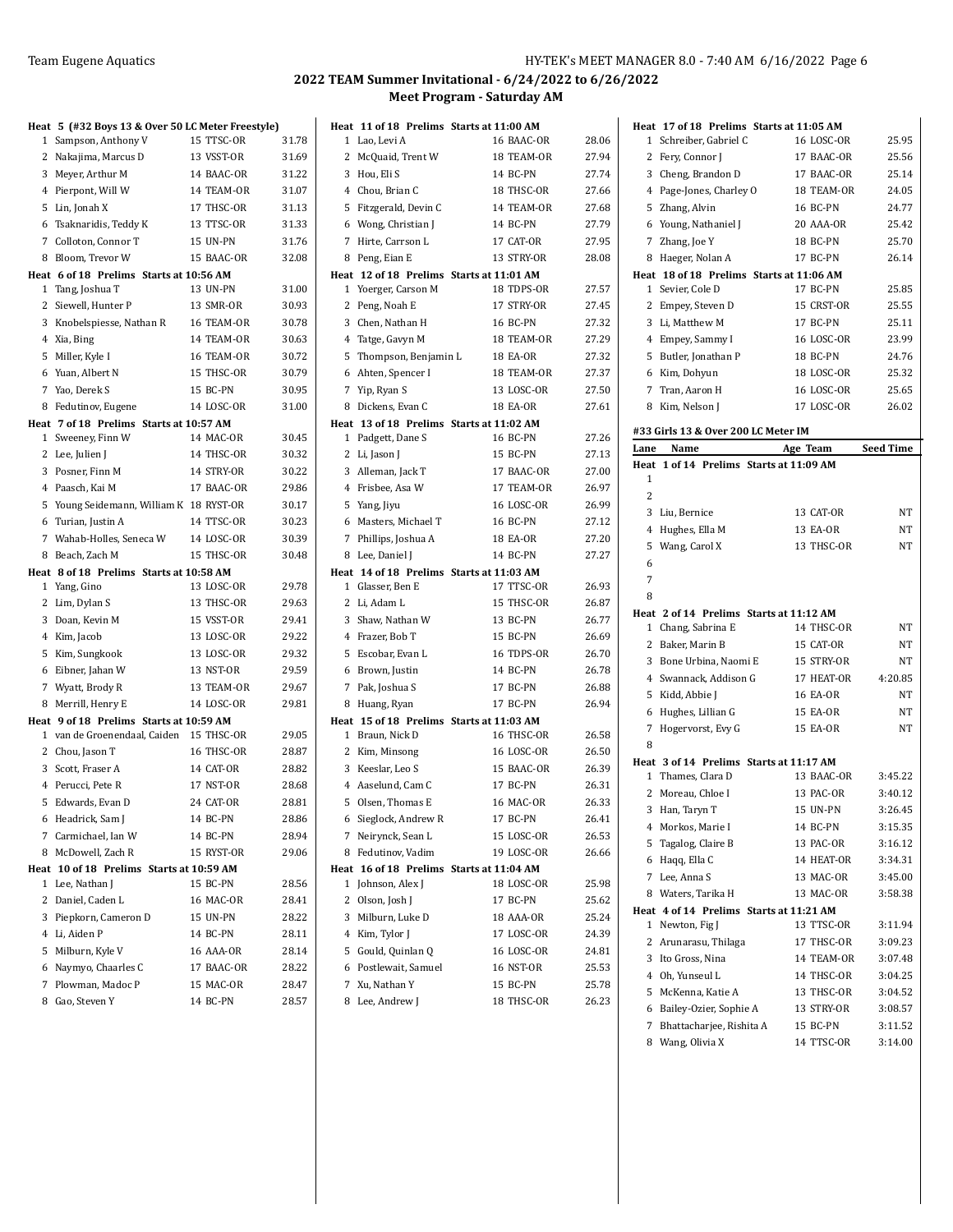#### Team Eugene Aquatics **HY-TEK's MEET MANAGER 8.0 - 7:40 AM 6/16/2022** Page 6

|   | Heat 5 (#32 Boys 13 & Over 50 LC Meter Freestyle)     |            |       |
|---|-------------------------------------------------------|------------|-------|
| 1 | Sampson, Anthony V                                    | 15 TTSC-OR | 31.78 |
|   | 2 Nakajima, Marcus D                                  | 13 VSST-OR | 31.69 |
|   | 3 Meyer, Arthur M                                     | 14 BAAC-OR | 31.22 |
|   | 4 Pierpont, Will W                                    | 14 TEAM-OR | 31.07 |
|   | 5 Lin, Jonah X                                        | 17 THSC-OR | 31.13 |
| 6 | Tsaknaridis, Teddy K                                  | 13 TTSC-OR | 31.33 |
| 7 | Colloton, Connor T                                    | 15 UN-PN   | 31.76 |
| 8 | Bloom, Trevor W                                       | 15 BAAC-OR | 32.08 |
|   | Heat 6 of 18 Prelims Starts at 10:56 AM               |            |       |
|   | 1 Tang, Joshua T                                      | 13 UN-PN   | 31.00 |
| 2 | Siewell, Hunter P                                     | 13 SMR-OR  | 30.93 |
| 3 | Knobelspiesse, Nathan R                               | 16 TEAM-OR | 30.78 |
|   | 4 Xia, Bing                                           | 14 TEAM-OR | 30.63 |
|   | 5 Miller, Kyle I                                      | 16 TEAM-OR | 30.72 |
|   | 6 Yuan, Albert N                                      | 15 THSC-OR | 30.79 |
|   | 7 Yao, Derek S                                        | 15 BC-PN   | 30.95 |
| 8 | Fedutinov, Eugene                                     | 14 LOSC-OR | 31.00 |
|   | Heat 7 of 18 Prelims Starts at 10:57 AM               |            |       |
|   | 1 Sweeney, Finn W                                     | 14 MAC-OR  | 30.45 |
|   | 2 Lee, Julien J                                       | 14 THSC-OR | 30.32 |
|   | 3 Posner, Finn M                                      | 14 STRY-OR | 30.22 |
|   | 4 Paasch, Kai M                                       | 17 BAAC-OR | 29.86 |
|   | 5 Young Seidemann, William K 18 RYST-OR               |            | 30.17 |
|   | 6 Turian, Justin A                                    | 14 TTSC-OR | 30.23 |
| 7 | Wahab-Holles, Seneca W                                | 14 LOSC-OR | 30.39 |
| 8 | Beach, Zach M                                         | 15 THSC-OR | 30.48 |
| 1 | Heat 8 of 18 Prelims Starts at 10:58 AM<br>Yang, Gino | 13 LOSC-OR | 29.78 |
|   | 2 Lim, Dylan S                                        | 13 THSC-OR | 29.63 |
|   | 3 Doan, Kevin M                                       | 15 VSST-OR | 29.41 |
|   | 4 Kim, Jacob                                          | 13 LOSC-OR | 29.22 |
|   | 5 Kim, Sungkook                                       | 13 LOSC-OR | 29.32 |
|   | 6 Eibner, Jahan W                                     | 13 NST-OR  | 29.59 |
| 7 | Wyatt, Brody R                                        | 13 TEAM-OR | 29.67 |
| 8 | Merrill, Henry E                                      | 14 LOSC-OR | 29.81 |
|   | Heat 9 of 18 Prelims Starts at 10:59 AM               |            |       |
|   | 1 van de Groenendaal, Caiden                          | 15 THSC-OR | 29.05 |
|   | 2 Chou, Jason T                                       | 16 THSC-OR | 28.87 |
|   | 3 Scott, Fraser A                                     | 14 CAT-OR  | 28.82 |
|   | 4 Perucci, Pete R                                     | 17 NST-OR  | 28.68 |
|   | 5 Edwards, Evan D                                     | 24 CAT-OR  | 28.81 |
|   | 6 Headrick, Sam J                                     | 14 BC-PN   | 28.86 |
|   | 7 Carmichael, Ian W                                   | 14 BC-PN   | 28.94 |
|   | 8 McDowell, Zach R                                    | 15 RYST-OR | 29.06 |
|   | Heat 10 of 18 Prelims Starts at 10:59 AM              |            |       |
|   | 1 Lee, Nathan J                                       | 15 BC-PN   | 28.56 |
| 2 | Daniel, Caden L                                       | 16 MAC-OR  | 28.41 |
|   | 3 Piepkorn, Cameron D                                 | 15 UN-PN   | 28.22 |
|   | 4 Li, Aiden P                                         | 14 BC-PN   | 28.11 |
|   | 5 Milburn, Kyle V                                     | 16 AAA-OR  | 28.14 |
|   | 6 Naymyo, Chaarles C                                  | 17 BAAC-OR | 28.22 |
| 7 | Plowman, Madoc P                                      | 15 MAC-OR  | 28.47 |
|   | 8 Gao, Steven Y                                       | 14 BC-PN   | 28.57 |

|              |                      | Heat 11 of 18 Prelims Starts at 11:00 AM               |       |
|--------------|----------------------|--------------------------------------------------------|-------|
| $\mathbf{1}$ | Lao, Levi A          | 16 BAAC-OR                                             | 28.06 |
| 2            | McQuaid, Trent W     | 18 TEAM-OR                                             | 27.94 |
|              | 3 Hou, Eli S         | 14 BC-PN                                               | 27.74 |
|              | 4 Chou, Brian C      | 18 THSC-OR                                             | 27.66 |
| 5            | Fitzgerald, Devin C  | 14 TEAM-OR                                             | 27.68 |
|              | 6 Wong, Christian J  | 14 BC-PN                                               | 27.79 |
|              | 7 Hirte, Carrson L   | 17 CAT-OR                                              | 27.95 |
| 8            | Peng, Eian E         | 13 STRY-OR                                             | 28.08 |
|              |                      | Heat 12 of 18 Prelims Starts at 11:01 AM               |       |
|              | 1 Yoerger, Carson M  | 18 TDPS-OR                                             | 27.57 |
|              | 2 Peng, Noah E       | 17 STRY-OR                                             | 27.45 |
| 3            | Chen, Nathan H       | 16 BC-PN                                               | 27.32 |
|              | 4 Tatge, Gavyn M     | 18 TEAM-OR                                             | 27.29 |
| 5            | Thompson, Benjamin L | <b>18 EA-OR</b>                                        | 27.32 |
|              | 6 Ahten, Spencer I   | 18 TEAM-OR                                             | 27.37 |
|              | 7 Yip, Ryan S        | 13 LOSC-OR                                             | 27.50 |
| 8            | Dickens, Evan C      | <b>18 EA-OR</b>                                        | 27.61 |
|              |                      | Heat 13 of 18 Prelims Starts at 11:02 AM               |       |
|              | 1 Padgett, Dane S    | 16 BC-PN                                               | 27.26 |
|              | 2 Li, Jason J        | 15 BC-PN                                               | 27.13 |
|              | 3 Alleman, Jack T    | 17 BAAC-OR                                             | 27.00 |
|              | 4 Frisbee, Asa W     | 17 TEAM-OR                                             | 26.97 |
|              | 5 Yang, Jiyu         | <b>16 LOSC-OR</b>                                      | 26.99 |
|              | 6 Masters, Michael T | 16 BC-PN<br><b>18 EA-OR</b>                            | 27.12 |
|              | 7 Phillips, Joshua A | 14 BC-PN                                               | 27.20 |
|              | 8 Lee, Daniel J      |                                                        | 27.27 |
|              | 1 Glasser, Ben E     | Heat 14 of 18 Prelims Starts at 11:03 AM<br>17 TTSC-OR | 26.93 |
|              | 2 Li, Adam L         | 15 THSC-OR                                             | 26.87 |
| 3            | Shaw, Nathan W       | 13 BC-PN                                               | 26.77 |
|              | 4 Frazer, Bob T      | 15 BC-PN                                               | 26.69 |
| 5            | Escobar, Evan L      | 16 TDPS-OR                                             | 26.70 |
|              | 6 Brown, Justin      | 14 BC-PN                                               | 26.78 |
|              | 7 Pak, Joshua S      | 17 BC-PN                                               | 26.88 |
|              | 8 Huang, Ryan        | 17 BC-PN                                               | 26.94 |
|              |                      | Heat 15 of 18 Prelims Starts at 11:03 AM               |       |
| $\mathbf{1}$ | Braun, Nick D        | 16 THSC-OR                                             | 26.58 |
|              | 2 Kim, Minsong       | 16 LOSC-OR                                             | 26.50 |
| 3            | Keeslar, Leo S       | 15 BAAC-OR                                             | 26.39 |
|              | 4 Aaselund, Cam C    | 17 BC-PN                                               | 26.31 |
| 5            | Olsen, Thomas E      | 16 MAC-OR                                              | 26.33 |
|              | 6 Sieglock, Andrew R | 17 BC-PN                                               | 26.41 |
| 7            | Neirynck, Sean L     | 15 LOSC-OR                                             | 26.53 |
|              | 8 Fedutinov, Vadim   | 19 LOSC-OR                                             | 26.66 |
|              |                      | Heat 16 of 18 Prelims Starts at 11:04 AM               |       |
| 1            | Johnson, Alex J      | 18 LOSC-OR                                             | 25.98 |
| 2            | Olson, Josh J        | 17 BC-PN                                               | 25.62 |
|              | 3 Milburn, Luke D    | 18 AAA-OR                                              | 25.24 |
|              | 4 Kim, Tylor J       | 17 LOSC-OR                                             | 24.39 |
| 5            | Gould, Quinlan Q     | 16 LOSC-OR                                             | 24.81 |
|              | 6 Postlewait, Samuel | <b>16 NST-OR</b>                                       | 25.53 |
|              | 7 Xu, Nathan Y       | 15 BC-PN                                               | 25.78 |
|              | 8 Lee, Andrew J      | 18 THSC-OR                                             | 26.23 |

|                                                              | <b>16 LOSC-OR</b>                                                                                                                                                                                                                                                                                                             | 25.95                                                                                                                                                                                                                                                               |
|--------------------------------------------------------------|-------------------------------------------------------------------------------------------------------------------------------------------------------------------------------------------------------------------------------------------------------------------------------------------------------------------------------|---------------------------------------------------------------------------------------------------------------------------------------------------------------------------------------------------------------------------------------------------------------------|
|                                                              | 17 BAAC-OR                                                                                                                                                                                                                                                                                                                    | 25.56                                                                                                                                                                                                                                                               |
| Cheng, Brandon D                                             | 17 BAAC-OR                                                                                                                                                                                                                                                                                                                    | 25.14                                                                                                                                                                                                                                                               |
|                                                              | 18 TEAM-OR                                                                                                                                                                                                                                                                                                                    | 24.05                                                                                                                                                                                                                                                               |
|                                                              | 16 BC-PN                                                                                                                                                                                                                                                                                                                      | 24.77                                                                                                                                                                                                                                                               |
|                                                              | 20 AAA-OR                                                                                                                                                                                                                                                                                                                     | 25.42                                                                                                                                                                                                                                                               |
| Zhang, Joe Y                                                 | 18 BC-PN                                                                                                                                                                                                                                                                                                                      | 25.70                                                                                                                                                                                                                                                               |
|                                                              |                                                                                                                                                                                                                                                                                                                               | 26.14                                                                                                                                                                                                                                                               |
|                                                              |                                                                                                                                                                                                                                                                                                                               |                                                                                                                                                                                                                                                                     |
|                                                              | 17 BC-PN                                                                                                                                                                                                                                                                                                                      | 25.85                                                                                                                                                                                                                                                               |
|                                                              | 15 CRST-OR                                                                                                                                                                                                                                                                                                                    | 25.55                                                                                                                                                                                                                                                               |
| Li, Matthew M                                                | 17 BC-PN                                                                                                                                                                                                                                                                                                                      | 25.11                                                                                                                                                                                                                                                               |
|                                                              |                                                                                                                                                                                                                                                                                                                               | 23.99                                                                                                                                                                                                                                                               |
|                                                              |                                                                                                                                                                                                                                                                                                                               | 24.76                                                                                                                                                                                                                                                               |
|                                                              |                                                                                                                                                                                                                                                                                                                               | 25.32                                                                                                                                                                                                                                                               |
|                                                              |                                                                                                                                                                                                                                                                                                                               | 25.65                                                                                                                                                                                                                                                               |
| Kim, Nelson J                                                | 17 LOSC-OR                                                                                                                                                                                                                                                                                                                    | 26.02                                                                                                                                                                                                                                                               |
|                                                              |                                                                                                                                                                                                                                                                                                                               |                                                                                                                                                                                                                                                                     |
|                                                              |                                                                                                                                                                                                                                                                                                                               | <b>Seed Time</b>                                                                                                                                                                                                                                                    |
|                                                              |                                                                                                                                                                                                                                                                                                                               |                                                                                                                                                                                                                                                                     |
|                                                              |                                                                                                                                                                                                                                                                                                                               |                                                                                                                                                                                                                                                                     |
|                                                              |                                                                                                                                                                                                                                                                                                                               |                                                                                                                                                                                                                                                                     |
|                                                              |                                                                                                                                                                                                                                                                                                                               | NΤ                                                                                                                                                                                                                                                                  |
|                                                              |                                                                                                                                                                                                                                                                                                                               | NT                                                                                                                                                                                                                                                                  |
|                                                              |                                                                                                                                                                                                                                                                                                                               |                                                                                                                                                                                                                                                                     |
|                                                              |                                                                                                                                                                                                                                                                                                                               |                                                                                                                                                                                                                                                                     |
| Wang, Carol X                                                | 13 THSC-OR                                                                                                                                                                                                                                                                                                                    | NT                                                                                                                                                                                                                                                                  |
|                                                              |                                                                                                                                                                                                                                                                                                                               |                                                                                                                                                                                                                                                                     |
|                                                              |                                                                                                                                                                                                                                                                                                                               |                                                                                                                                                                                                                                                                     |
|                                                              |                                                                                                                                                                                                                                                                                                                               |                                                                                                                                                                                                                                                                     |
| Heat 2 of 14 Prelims Starts at 11:12 AM                      |                                                                                                                                                                                                                                                                                                                               |                                                                                                                                                                                                                                                                     |
| Chang, Sabrina E                                             | 14 THSC-OR                                                                                                                                                                                                                                                                                                                    | NΤ                                                                                                                                                                                                                                                                  |
| 2 Baker, Marin B                                             | 15 CAT-OR                                                                                                                                                                                                                                                                                                                     | NT                                                                                                                                                                                                                                                                  |
| 3 Bone Urbina, Naomi E                                       | 15 STRY-OR                                                                                                                                                                                                                                                                                                                    | NT                                                                                                                                                                                                                                                                  |
| 4 Swannack, Addison G                                        | 17 HEAT-OR                                                                                                                                                                                                                                                                                                                    | 4:20.85                                                                                                                                                                                                                                                             |
| 5 Kidd, Abbie J                                              | 16 EA-OR                                                                                                                                                                                                                                                                                                                      | NT                                                                                                                                                                                                                                                                  |
| 6 Hughes, Lillian G                                          | 15 EA-OR                                                                                                                                                                                                                                                                                                                      | NT                                                                                                                                                                                                                                                                  |
| 7<br>Hogervorst, Evy G                                       | 15 EA-OR                                                                                                                                                                                                                                                                                                                      | NT                                                                                                                                                                                                                                                                  |
|                                                              |                                                                                                                                                                                                                                                                                                                               |                                                                                                                                                                                                                                                                     |
| Heat 3 of 14 Prelims Starts at 11:17 AM<br>1 Thames, Clara D | 13 BAAC-OR                                                                                                                                                                                                                                                                                                                    | 3:45.22                                                                                                                                                                                                                                                             |
| Moreau, Chloe I                                              | 13 PAC-OR                                                                                                                                                                                                                                                                                                                     | 3:40.12                                                                                                                                                                                                                                                             |
| 3<br>Han, Taryn T                                            | 15 UN-PN                                                                                                                                                                                                                                                                                                                      | 3:26.45                                                                                                                                                                                                                                                             |
|                                                              |                                                                                                                                                                                                                                                                                                                               |                                                                                                                                                                                                                                                                     |
| Morkos, Marie I<br>4                                         | 14 BC-PN<br>13 PAC-OR                                                                                                                                                                                                                                                                                                         | 3:15.35                                                                                                                                                                                                                                                             |
| 5<br>Tagalog, Claire B                                       |                                                                                                                                                                                                                                                                                                                               | 3:16.12                                                                                                                                                                                                                                                             |
| 6 Haqq, Ella C                                               | 14 HEAT-OR                                                                                                                                                                                                                                                                                                                    | 3:34.31                                                                                                                                                                                                                                                             |
| 7 Lee, Anna S                                                | 13 MAC-OR                                                                                                                                                                                                                                                                                                                     | 3:45.00                                                                                                                                                                                                                                                             |
| 8 Waters, Tarika H                                           | 13 MAC-OR                                                                                                                                                                                                                                                                                                                     | 3:58.38                                                                                                                                                                                                                                                             |
| Heat 4 of 14 Prelims Starts at 11:21 AM<br>Newton, Fig J     | 13 TTSC-OR                                                                                                                                                                                                                                                                                                                    | 3:11.94                                                                                                                                                                                                                                                             |
| 2 Arunarasu, Thilaga                                         | 17 THSC-OR                                                                                                                                                                                                                                                                                                                    | 3:09.23                                                                                                                                                                                                                                                             |
| 3<br>Ito Gross, Nina                                         | 14 TEAM-OR                                                                                                                                                                                                                                                                                                                    | 3:07.48                                                                                                                                                                                                                                                             |
| 4 Oh, Yunseul L                                              | 14 THSC-OR                                                                                                                                                                                                                                                                                                                    | 3:04.25                                                                                                                                                                                                                                                             |
| 5 McKenna, Katie A                                           | 13 THSC-OR                                                                                                                                                                                                                                                                                                                    | 3:04.52                                                                                                                                                                                                                                                             |
| 6 Bailey-Ozier, Sophie A                                     | 13 STRY-OR                                                                                                                                                                                                                                                                                                                    | 3:08.57                                                                                                                                                                                                                                                             |
| Bhattacharjee, Rishita A                                     | 15 BC-PN                                                                                                                                                                                                                                                                                                                      | 3:11.52                                                                                                                                                                                                                                                             |
| Lane                                                         | Heat<br>Schreiber, Gabriel C<br>2 Fery, Connor J<br>4 Page-Jones, Charley O<br>5 Zhang, Alvin<br>6 Young, Nathaniel J<br>7<br>Haeger, Nolan A<br>1 Sevier, Cole D<br>2 Empey, Steven D<br>3<br>4 Empey, Sammy I<br>5 Butler, Jonathan P<br>6 Kim, Dohyun<br>Tran, Aaron H<br>Name<br>Heat<br>3 Liu, Bernice<br>Hughes, Ella M | 17 of 18 Prelims Starts at 11:05 AM<br>17 BC-PN<br>Heat 18 of 18 Prelims Starts at 11:06 AM<br>16 LOSC-OR<br>18 BC-PN<br>18 LOSC-OR<br>16 LOSC-OR<br>#33 Girls 13 & Over 200 LC Meter IM<br>Age Team<br>1 of 14 Prelims Starts at 11:09 AM<br>13 CAT-OR<br>13 EA-OR |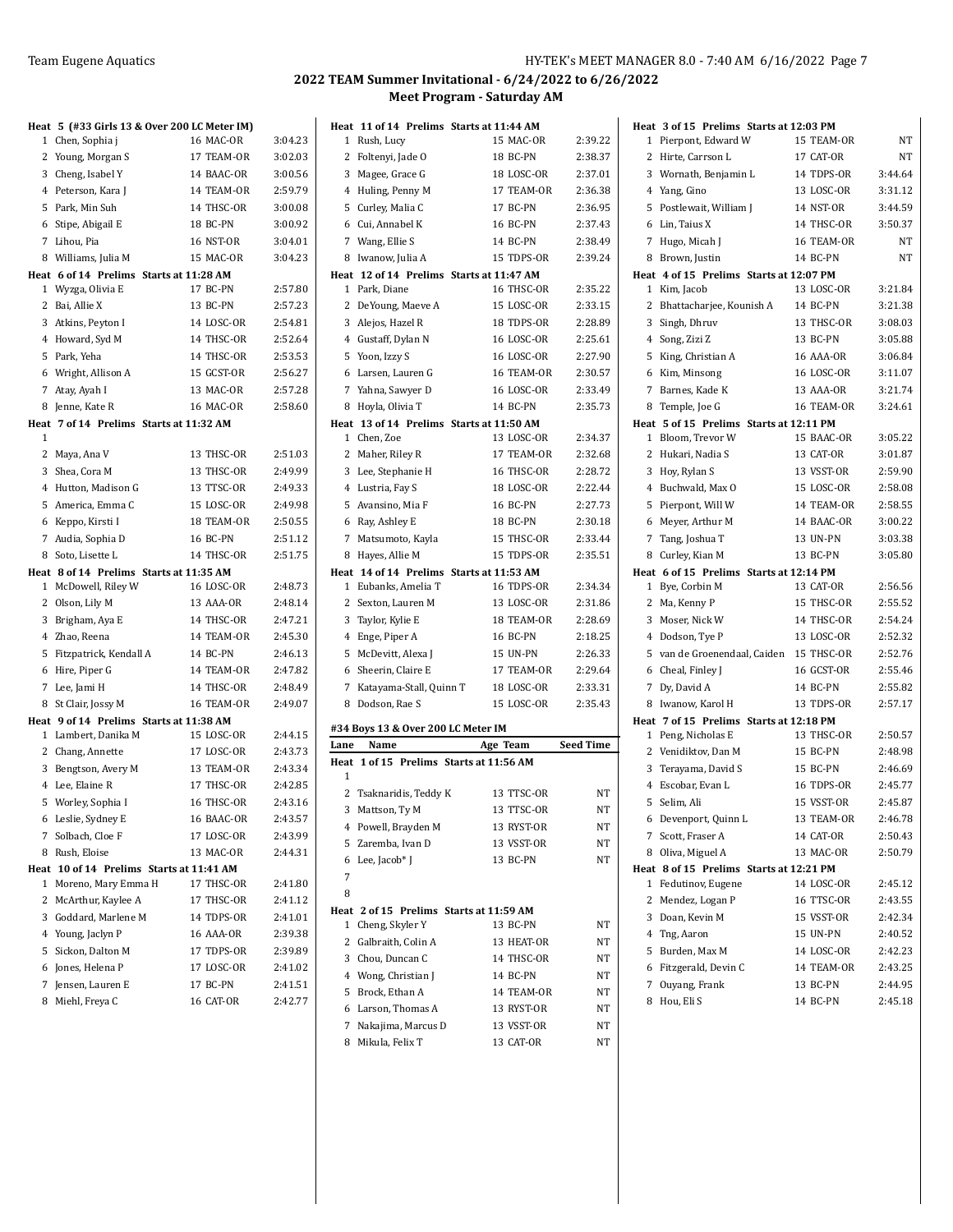|   | Heat 5 (#33 Girls 13 & Over 200 LC Meter IM) |                          |                    |
|---|----------------------------------------------|--------------------------|--------------------|
| 1 | Chen, Sophia j                               | 16 MAC-OR                | 3:04.23            |
|   | 2 Young, Morgan S                            | 17 TEAM-OR               | 3:02.03            |
|   | 3 Cheng, Isabel Y                            | 14 BAAC-OR               | 3:00.56            |
|   | 4 Peterson, Kara J                           | 14 TEAM-OR               | 2:59.79            |
|   | 5 Park, Min Suh                              | 14 THSC-OR               | 3:00.08            |
|   | 6 Stipe, Abigail E                           | <b>18 BC-PN</b>          | 3:00.92            |
|   | 7 Lihou, Pia                                 | 16 NST-OR                | 3:04.01            |
|   | 8 Williams, Julia M                          | 15 MAC-OR                | 3:04.23            |
|   | Heat 6 of 14 Prelims Starts at 11:28 AM      |                          |                    |
|   | 1 Wyzga, Olivia E                            | 17 BC-PN                 | 2:57.80            |
|   | 2 Bai, Allie X                               | 13 BC-PN                 | 2:57.23            |
|   | 3 Atkins, Peyton I                           | 14 LOSC-OR               | 2:54.81            |
|   | 4 Howard, Syd M                              | 14 THSC-OR               | 2:52.64            |
|   | 5 Park, Yeha                                 | 14 THSC-OR               | 2:53.53            |
|   | 6 Wright, Allison A                          | 15 GCST-OR               | 2:56.27            |
| 7 | Atay, Ayah I                                 | 13 MAC-OR                | 2:57.28            |
| 8 | Jenne, Kate R                                | 16 MAC-OR                | 2:58.60            |
| 1 | Heat 7 of 14 Prelims Starts at 11:32 AM      |                          |                    |
|   | 2 Maya, Ana V                                | 13 THSC-OR               | 2:51.03            |
|   | 3 Shea, Cora M                               | 13 THSC-OR               | 2:49.99            |
|   | 4 Hutton, Madison G                          | 13 TTSC-OR               | 2:49.33            |
|   | 5 America, Emma C                            | 15 LOSC-OR               | 2:49.98            |
|   | 6 Keppo, Kirsti I                            | 18 TEAM-OR               | 2:50.55            |
| 7 | Audia, Sophia D                              | 16 BC-PN                 | 2:51.12            |
|   | 8 Soto, Lisette L                            | 14 THSC-OR               | 2:51.75            |
|   | Heat 8 of 14 Prelims Starts at 11:35 AM      |                          |                    |
|   | 1 McDowell, Riley W                          | 16 LOSC-OR               | 2:48.73            |
|   | 2 Olson, Lily M                              | 13 AAA-OR                | 2:48.14            |
|   | 3 Brigham, Aya E                             | 14 THSC-OR               | 2:47.21            |
|   | 4 Zhao, Reena                                | 14 TEAM-OR               | 2:45.30            |
| 5 | Fitzpatrick, Kendall A                       | 14 BC-PN                 | 2:46.13            |
|   | 6 Hire, Piper G                              | 14 TEAM-OR               | 2:47.82            |
|   | 7 Lee, Jami H                                | 14 THSC-OR               | 2:48.49            |
| 8 | St Clair, Jossy M                            | 16 TEAM-OR               | 2:49.07            |
|   | Heat 9 of 14 Prelims Starts at 11:38 AM      |                          |                    |
|   | 1 Lambert, Danika M                          | 15 LOSC-OR               | 2:44.15            |
|   | 2 Chang, Annette                             | 17 LOSC-OR               | 2:43.73            |
|   | 3 Bengtson, Avery M<br>4 Lee, Elaine R       | 13 TEAM-OR<br>17 THSC-OR | 2:43.34<br>2:42.85 |
|   | 5 Worley, Sophia I                           | 16 THSC-OR               | 2:43.16            |
|   |                                              | 16 BAAC-OR               |                    |
| 7 | 6 Leslie, Sydney E<br>Solbach, Cloe F        | 17 LOSC-OR               | 2:43.57<br>2:43.99 |
| 8 | Rush, Eloise                                 | 13 MAC-OR                | 2:44.31            |
|   | Heat 10 of 14 Prelims Starts at 11:41 AM     |                          |                    |
| 1 | Moreno, Mary Emma H                          | 17 THSC-OR               | 2:41.80            |
| 2 | McArthur, Kaylee A                           | 17 THSC-OR               | 2:41.12            |
|   | 3 Goddard, Marlene M                         | 14 TDPS-OR               | 2:41.01            |
|   | 4 Young, Jaclyn P                            | 16 AAA-OR                | 2:39.38            |
| 5 | Sickon, Dalton M                             | 17 TDPS-OR               | 2:39.89            |
|   | 6 Jones, Helena P                            | 17 LOSC-OR               | 2:41.02            |
| 7 | Jensen, Lauren E                             | 17 BC-PN                 | 2:41.51            |
|   | 8 Miehl, Freya C                             | 16 CAT-OR                | 2:42.77            |

|                | Heat 11 of 14 Prelims Starts at 11:44 AM |            |                  |
|----------------|------------------------------------------|------------|------------------|
| 1              | Rush, Lucy                               | 15 MAC-OR  | 2:39.22          |
| 2              | Foltenyi, Jade O                         | 18 BC-PN   | 2:38.37          |
| 3              | Magee, Grace G                           | 18 LOSC-OR | 2:37.01          |
| 4              | Huling, Penny M                          | 17 TEAM-OR | 2:36.38          |
|                | 5 Curley, Malia C                        | 17 BC-PN   | 2:36.95          |
|                | 6 Cui, Annabel K                         | 16 BC-PN   | 2:37.43          |
| 7              | Wang, Ellie S                            | 14 BC-PN   | 2:38.49          |
| 8              | Iwanow, Julia A                          | 15 TDPS-OR | 2:39.24          |
|                | Heat 12 of 14 Prelims Starts at 11:47 AM |            |                  |
| 1              | Park, Diane                              | 16 THSC-OR | 2:35.22          |
| 2              | DeYoung, Maeve A                         | 15 LOSC-OR | 2:33.15          |
|                | 3 Alejos, Hazel R                        | 18 TDPS-OR | 2:28.89          |
|                | 4 Gustaff, Dylan N                       | 16 LOSC-OR | 2:25.61          |
|                | 5 Yoon, Izzy S                           | 16 LOSC-OR | 2:27.90          |
| 6              | Larsen, Lauren G                         | 16 TEAM-OR | 2:30.57          |
| 7              | Yahna, Sawyer D                          | 16 LOSC-OR | 2:33.49          |
| 8              | Hoyla, Olivia T                          | 14 BC-PN   | 2:35.73          |
|                | Heat 13 of 14 Prelims Starts at 11:50 AM |            |                  |
| $\mathbf{1}$   | Chen, Zoe                                | 13 LOSC-OR | 2:34.37          |
| 2              | Maher, Riley R                           | 17 TEAM-OR | 2:32.68          |
| 3              | Lee, Stephanie H                         | 16 THSC-OR | 2:28.72          |
| $\overline{4}$ | Lustria, Fay S                           | 18 LOSC-OR | 2:22.44          |
| 5              | Avansino, Mia F                          | 16 BC-PN   | 2:27.73          |
| 6              | Ray, Ashley E                            | 18 BC-PN   | 2:30.18          |
| 7              | Matsumoto, Kayla                         | 15 THSC-OR | 2:33.44          |
| 8              | Hayes, Allie M                           | 15 TDPS-OR | 2:35.51          |
|                | Heat 14 of 14 Prelims Starts at 11:53 AM |            |                  |
| 1              | Eubanks, Amelia T                        | 16 TDPS-OR | 2:34.34          |
| $\mathbf{2}$   | Sexton, Lauren M                         | 13 LOSC-OR | 2:31.86          |
| 3              | Taylor, Kylie E                          | 18 TEAM-OR | 2:28.69          |
| 4              | Enge, Piper A                            | 16 BC-PN   | 2:18.25          |
| 5              | McDevitt, Alexa J                        | 15 UN-PN   | 2:26.33          |
| 6              | Sheerin, Claire E                        | 17 TEAM-OR | 2:29.64          |
| 7              | Katayama-Stall, Quinn T                  | 18 LOSC-OR | 2:33.31          |
| 8              | Dodson, Rae S                            | 15 LOSC-OR | 2:35.43          |
|                | #34 Boys 13 & Over 200 LC Meter IM       |            |                  |
| Lane           | Name                                     | Age Team   | <b>Seed Time</b> |
| Heat           | 1 of 15 Prelims Starts at 11:56 AM       |            |                  |
| 1              |                                          |            |                  |
| $\overline{2}$ | Tsaknaridis, Teddy K                     | 13 TTSC-OR | NΤ               |
|                | 3 Mattson, Ty M                          | 13 TTSC-OR | NT               |
|                | 4 Powell, Brayden M                      | 13 RYST-OR | NΤ               |
|                | 5 Zaremba, Ivan D                        | 13 VSST-OR | NT               |
| 6              | Lee, Jacob* J                            | 13 BC-PN   | NT               |
| 7              |                                          |            |                  |
| 8              |                                          |            |                  |
|                | Heat 2 of 15 Prelims Starts at 11:59 AM  |            |                  |
|                | 1 Cheng, Skyler Y                        | 13 BC-PN   | NT               |
|                | 2 Galbraith, Colin A                     | 13 HEAT-OR | NT               |
|                | 3 Chou, Duncan C                         | 14 THSC-OR | NT               |
|                | 4 Wong, Christian J                      | 14 BC-PN   | NΤ               |
|                | 5 Brock, Ethan A                         | 14 TEAM-OR | NT               |
|                | 6 Larson, Thomas A                       | 13 RYST-OR | NT               |
| 7              | Nakajima, Marcus D                       |            |                  |
|                |                                          | 13 VSST-OR | NT               |
|                | 8 Mikula, Felix T                        | 13 CAT-OR  | NT               |

|                | Heat 3 of 15 Prelims Starts at 12:03 PM                     |                  |           |
|----------------|-------------------------------------------------------------|------------------|-----------|
| $\mathbf{1}$   | Pierpont, Edward W                                          | 15 TEAM-OR       | NΤ        |
| 2              | Hirte, Carrson L                                            | 17 CAT-OR        | <b>NT</b> |
| 3              | Wornath, Benjamin L                                         | 14 TDPS-OR       | 3:44.64   |
|                | 4 Yang, Gino                                                | 13 LOSC-OR       | 3:31.12   |
| 5              | Postlewait, William J                                       | <b>14 NST-OR</b> | 3:44.59   |
|                | 6 Lin, Taius X                                              | 14 THSC-OR       | 3:50.37   |
| $7^{\circ}$    | Hugo, Micah J                                               | 16 TEAM-OR       | NT        |
| 8              | Brown, Justin                                               | 14 BC-PN         | NT        |
|                | Heat 4 of 15 Prelims Starts at 12:07 PM                     |                  |           |
| $\mathbf{1}$   | Kim, Jacob                                                  | 13 LOSC-OR       | 3:21.84   |
| 2              | Bhattacharjee, Kounish A                                    | 14 BC-PN         | 3:21.38   |
| 3              | Singh, Dhruv                                                | 13 THSC-OR       | 3:08.03   |
| $\overline{4}$ | Song, Zizi Z                                                | 13 BC-PN         | 3:05.88   |
| 5              | King, Christian A                                           | 16 AAA-OR        | 3:06.84   |
| 6              | Kim, Minsong                                                | 16 LOSC-OR       | 3:11.07   |
| 7              | Barnes, Kade K                                              | 13 AAA-OR        | 3:21.74   |
| 8              | Temple, Joe G                                               | 16 TEAM-OR       | 3:24.61   |
|                | Heat 5 of 15 Prelims Starts at 12:11 PM                     |                  |           |
| 1              | Bloom, Trevor W                                             | 15 BAAC-OR       | 3:05.22   |
| 2              | Hukari, Nadia S                                             | 13 CAT-OR        | 3:01.87   |
|                | 3 Hoy, Rylan S                                              | 13 VSST-OR       | 2:59.90   |
| 4              | Buchwald, Max O                                             | 15 LOSC-OR       | 2:58.08   |
| 5              | Pierpont, Will W                                            | 14 TEAM-OR       | 2:58.55   |
| 6              | Meyer, Arthur M                                             | 14 BAAC-OR       | 3:00.22   |
| 7              | Tang, Joshua T                                              | 13 UN-PN         | 3:03.38   |
| 8              | Curley, Kian M                                              | 13 BC-PN         | 3:05.80   |
|                | Heat 6 of 15 Prelims Starts at 12:14 PM                     |                  |           |
| 1              | Bye, Corbin M                                               | 13 CAT-OR        | 2:56.56   |
| $\mathbf{2}$   | Ma, Kenny P                                                 | 15 THSC-OR       | 2:55.52   |
| 3              | Moser, Nick W                                               | 14 THSC-OR       | 2:54.24   |
| 4              | Dodson, Tye P                                               | 13 LOSC-OR       | 2:52.32   |
| 5              | van de Groenendaal, Caiden                                  | 15 THSC-OR       | 2:52.76   |
|                | 6 Cheal, Finley J                                           | 16 GCST-OR       | 2:55.46   |
| 7              | Dy, David A                                                 | 14 BC-PN         | 2:55.82   |
| 8              | Iwanow, Karol H                                             | 13 TDPS-OR       | 2:57.17   |
| $\mathbf{1}$   | Heat 7 of 15 Prelims Starts at 12:18 PM<br>Peng, Nicholas E | 13 THSC-OR       | 2:50.57   |
|                | 2 Venidiktov, Dan M                                         | 15 BC-PN         | 2:48.98   |
| 3              | Terayama, David S                                           | 15 BC-PN         | 2:46.69   |
| 4              | Escobar, Evan L                                             | 16 TDPS-OR       | 2:45.77   |
| 5              | Selim, Ali                                                  | 15 VSST-OR       | 2:45.87   |
|                | 6 Devenport, Quinn L                                        | 13 TEAM-OR       | 2:46.78   |
| 7              | Scott, Fraser A                                             | 14 CAT-OR        | 2:50.43   |
|                | 8 Oliva, Miguel A                                           | 13 MAC-OR        | 2:50.79   |
|                | Heat 8 of 15 Prelims Starts at 12:21 PM                     |                  |           |
| 1              | Fedutinov, Eugene                                           | 14 LOSC-OR       | 2:45.12   |
|                | 2 Mendez, Logan P                                           | 16 TTSC-OR       | 2:43.55   |
|                | 3 Doan, Kevin M                                             | 15 VSST-OR       | 2:42.34   |
|                | 4 Tng, Aaron                                                | 15 UN-PN         | 2:40.52   |
| 5              | Burden, Max M                                               | 14 LOSC-OR       | 2:42.23   |
|                | 6 Fitzgerald, Devin C                                       | 14 TEAM-OR       | 2:43.25   |
| 7              | Ouyang, Frank                                               | 13 BC-PN         | 2:44.95   |
|                | 8 Hou, Eli S                                                | 14 BC-PN         | 2:45.18   |
|                |                                                             |                  |           |